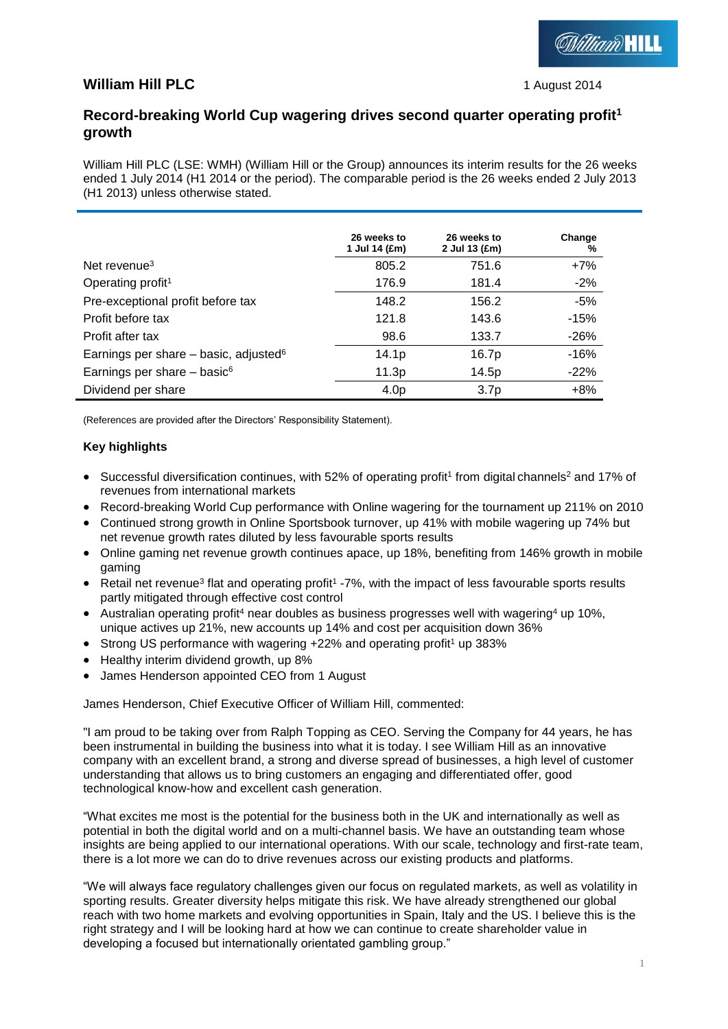## **William Hill PLC** 1 August 2014

*Milliam* HILL

## **Record-breaking World Cup wagering drives second quarter operating profit<sup>1</sup> growth**

William Hill PLC (LSE: WMH) (William Hill or the Group) announces its interim results for the 26 weeks ended 1 July 2014 (H1 2014 or the period). The comparable period is the 26 weeks ended 2 July 2013 (H1 2013) unless otherwise stated.

|                                                     | 26 weeks to<br>1 Jul 14 (£m) | 26 weeks to<br>2 Jul 13 (£m) | Change<br>% |
|-----------------------------------------------------|------------------------------|------------------------------|-------------|
| Net revenue <sup>3</sup>                            | 805.2                        | 751.6                        | $+7%$       |
| Operating profit <sup>1</sup>                       | 176.9                        | 181.4                        | $-2%$       |
| Pre-exceptional profit before tax                   | 148.2                        | 156.2                        | -5%         |
| Profit before tax                                   | 121.8                        | 143.6                        | $-15%$      |
| Profit after tax                                    | 98.6                         | 133.7                        | $-26%$      |
| Earnings per share $-$ basic, adjusted <sup>6</sup> | 14.1 <sub>p</sub>            | 16.7p                        | $-16%$      |
| Earnings per share $-$ basic <sup>6</sup>           | 11.3p                        | 14.5p                        | $-22%$      |
| Dividend per share                                  | 4.0 <sub>p</sub>             | 3.7 <sub>p</sub>             | $+8%$       |

(References are provided after the Directors' Responsibility Statement).

### **Key highlights**

- Successful diversification continues, with 52% of operating profit<sup>1</sup> from digital channels<sup>2</sup> and 17% of revenues from international markets
- Record-breaking World Cup performance with Online wagering for the tournament up 211% on 2010
- Continued strong growth in Online Sportsbook turnover, up 41% with mobile wagering up 74% but net revenue growth rates diluted by less favourable sports results
- Online gaming net revenue growth continues apace, up 18%, benefiting from 146% growth in mobile gaming
- Retail net revenue<sup>3</sup> flat and operating profit<sup>1</sup> -7%, with the impact of less favourable sports results partly mitigated through effective cost control
- Australian operating profit<sup>4</sup> near doubles as business progresses well with wagering<sup>4</sup> up 10%. unique actives up 21%, new accounts up 14% and cost per acquisition down 36%
- Strong US performance with wagering +22% and operating profit<sup>1</sup> up 383%
- Healthy interim dividend growth, up 8%
- James Henderson appointed CEO from 1 August

James Henderson, Chief Executive Officer of William Hill, commented:

"I am proud to be taking over from Ralph Topping as CEO. Serving the Company for 44 years, he has been instrumental in building the business into what it is today. I see William Hill as an innovative company with an excellent brand, a strong and diverse spread of businesses, a high level of customer understanding that allows us to bring customers an engaging and differentiated offer, good technological know-how and excellent cash generation.

"What excites me most is the potential for the business both in the UK and internationally as well as potential in both the digital world and on a multi-channel basis. We have an outstanding team whose insights are being applied to our international operations. With our scale, technology and first-rate team, there is a lot more we can do to drive revenues across our existing products and platforms.

"We will always face regulatory challenges given our focus on regulated markets, as well as volatility in sporting results. Greater diversity helps mitigate this risk. We have already strengthened our global reach with two home markets and evolving opportunities in Spain, Italy and the US. I believe this is the right strategy and I will be looking hard at how we can continue to create shareholder value in developing a focused but internationally orientated gambling group."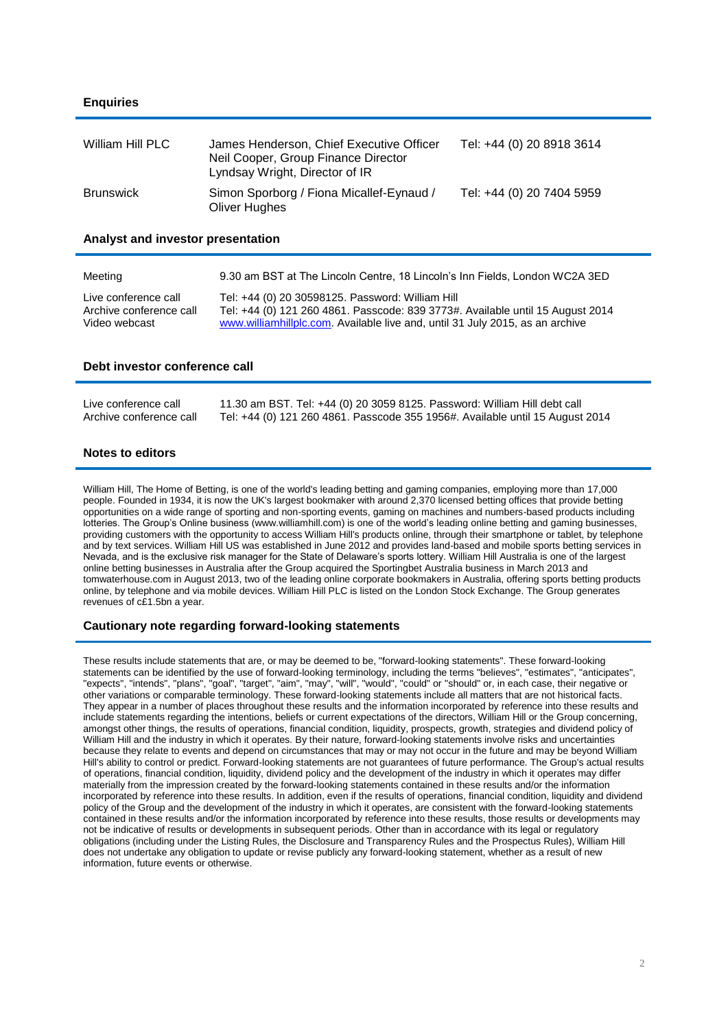### **Enquiries**

| William Hill PLC | James Henderson, Chief Executive Officer<br>Neil Cooper, Group Finance Director<br>Lyndsay Wright, Director of IR | Tel: +44 (0) 20 8918 3614 |
|------------------|-------------------------------------------------------------------------------------------------------------------|---------------------------|
| Brunswick        | Simon Sporborg / Fiona Micallef-Eynaud /<br>Oliver Hughes                                                         | Tel: +44 (0) 20 7404 5959 |

**Analyst and investor presentation**

| Meeting                 | 9.30 am BST at The Lincoln Centre, 18 Lincoln's Inn Fields, London WC2A 3ED    |
|-------------------------|--------------------------------------------------------------------------------|
| Live conference call    | Tel: +44 (0) 20 30598125. Password: William Hill                               |
| Archive conference call | Tel: +44 (0) 121 260 4861. Passcode: 839 3773#. Available until 15 August 2014 |
| Video webcast           | www.williamhillplc.com. Available live and, until 31 July 2015, as an archive  |

#### **Debt investor conference call**

| Live conference call    | 11.30 am BST. Tel: +44 (0) 20 3059 8125. Password: William Hill debt call     |
|-------------------------|-------------------------------------------------------------------------------|
| Archive conference call | Tel: +44 (0) 121 260 4861. Passcode 355 1956#. Available until 15 August 2014 |

### **Notes to editors**

William Hill, The Home of Betting, is one of the world's leading betting and gaming companies, employing more than 17,000 people. Founded in 1934, it is now the UK's largest bookmaker with around 2,370 licensed betting offices that provide betting opportunities on a wide range of sporting and non-sporting events, gaming on machines and numbers-based products including lotteries. The Group's Online business [\(www.williamhill.com\)](http://www.williamhill.com/) is one of the world's leading online betting and gaming businesses, providing customers with the opportunity to access William Hill's products online, through their smartphone or tablet, by telephone and by text services. William Hill US was established in June 2012 and provides land-based and mobile sports betting services in Nevada, and is the exclusive risk manager for the State of Delaware's sports lottery. William Hill Australia is one of the largest online betting businesses in Australia after the Group acquired the Sportingbet Australia business in March 2013 and tomwaterhouse.com in August 2013, two of the leading online corporate bookmakers in Australia, offering sports betting products online, by telephone and via mobile devices. William Hill PLC is listed on the London Stock Exchange. The Group generates revenues of c£1.5bn a year.

#### **Cautionary note regarding forward-looking statements**

These results include statements that are, or may be deemed to be, "forward-looking statements". These forward-looking statements can be identified by the use of forward-looking terminology, including the terms "believes", "estimates", "anticipates", "expects", "intends", "plans", "goal", "target", "aim", "may", "will", "would", "could" or "should" or, in each case, their negative or other variations or comparable terminology. These forward-looking statements include all matters that are not historical facts. They appear in a number of places throughout these results and the information incorporated by reference into these results and include statements regarding the intentions, beliefs or current expectations of the directors, William Hill or the Group concerning, amongst other things, the results of operations, financial condition, liquidity, prospects, growth, strategies and dividend policy of William Hill and the industry in which it operates. By their nature, forward-looking statements involve risks and uncertainties because they relate to events and depend on circumstances that may or may not occur in the future and may be beyond William Hill's ability to control or predict. Forward-looking statements are not guarantees of future performance. The Group's actual results of operations, financial condition, liquidity, dividend policy and the development of the industry in which it operates may differ materially from the impression created by the forward-looking statements contained in these results and/or the information incorporated by reference into these results. In addition, even if the results of operations, financial condition, liquidity and dividend policy of the Group and the development of the industry in which it operates, are consistent with the forward-looking statements contained in these results and/or the information incorporated by reference into these results, those results or developments may not be indicative of results or developments in subsequent periods. Other than in accordance with its legal or regulatory obligations (including under the Listing Rules, the Disclosure and Transparency Rules and the Prospectus Rules), William Hill does not undertake any obligation to update or revise publicly any forward-looking statement, whether as a result of new information, future events or otherwise.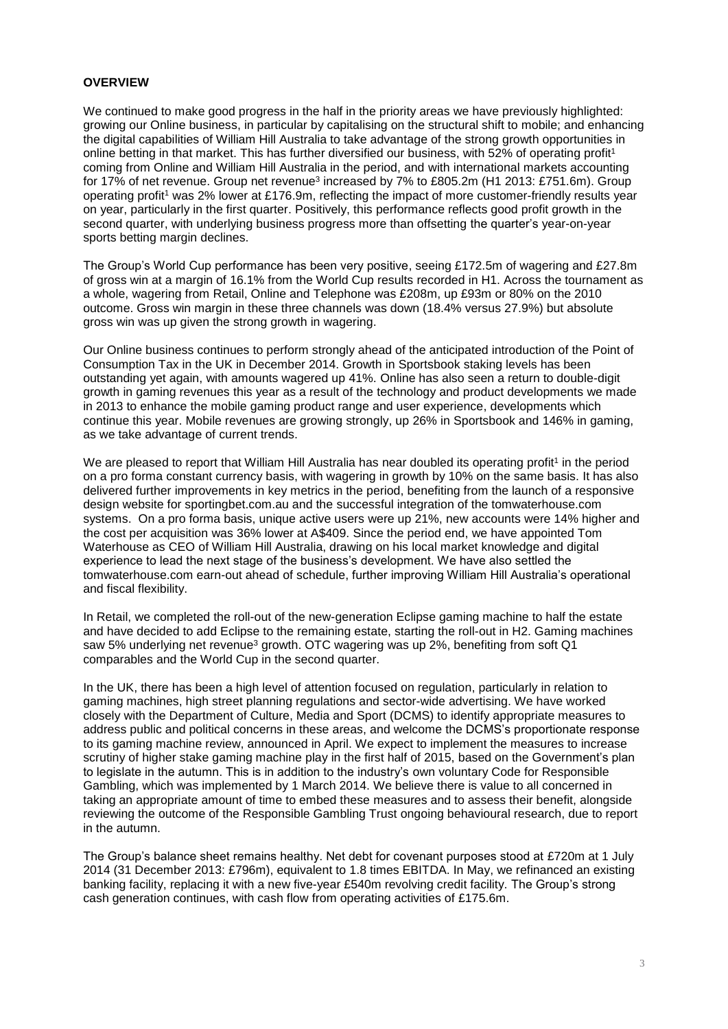### **OVERVIEW**

We continued to make good progress in the half in the priority areas we have previously highlighted: growing our Online business, in particular by capitalising on the structural shift to mobile; and enhancing the digital capabilities of William Hill Australia to take advantage of the strong growth opportunities in online betting in that market. This has further diversified our business, with 52% of operating profit<sup>1</sup> coming from Online and William Hill Australia in the period, and with international markets accounting for 17% of net revenue. Group net revenue<sup>3</sup> increased by 7% to £805.2m (H1 2013: £751.6m). Group operating profit<sup>1</sup> was 2% lower at £176.9m, reflecting the impact of more customer-friendly results year on year, particularly in the first quarter. Positively, this performance reflects good profit growth in the second quarter, with underlying business progress more than offsetting the quarter's year-on-year sports betting margin declines.

The Group's World Cup performance has been very positive, seeing £172.5m of wagering and £27.8m of gross win at a margin of 16.1% from the World Cup results recorded in H1. Across the tournament as a whole, wagering from Retail, Online and Telephone was £208m, up £93m or 80% on the 2010 outcome. Gross win margin in these three channels was down (18.4% versus 27.9%) but absolute gross win was up given the strong growth in wagering.

Our Online business continues to perform strongly ahead of the anticipated introduction of the Point of Consumption Tax in the UK in December 2014. Growth in Sportsbook staking levels has been outstanding yet again, with amounts wagered up 41%. Online has also seen a return to double-digit growth in gaming revenues this year as a result of the technology and product developments we made in 2013 to enhance the mobile gaming product range and user experience, developments which continue this year. Mobile revenues are growing strongly, up 26% in Sportsbook and 146% in gaming, as we take advantage of current trends.

We are pleased to report that William Hill Australia has near doubled its operating profit<sup>1</sup> in the period on a pro forma constant currency basis, with wagering in growth by 10% on the same basis. It has also delivered further improvements in key metrics in the period, benefiting from the launch of a responsive design website for sportingbet.com.au and the successful integration of the tomwaterhouse.com systems. On a pro forma basis, unique active users were up 21%, new accounts were 14% higher and the cost per acquisition was 36% lower at A\$409. Since the period end, we have appointed Tom Waterhouse as CEO of William Hill Australia, drawing on his local market knowledge and digital experience to lead the next stage of the business's development. We have also settled the tomwaterhouse.com earn-out ahead of schedule, further improving William Hill Australia's operational and fiscal flexibility.

In Retail, we completed the roll-out of the new-generation Eclipse gaming machine to half the estate and have decided to add Eclipse to the remaining estate, starting the roll-out in H2. Gaming machines saw 5% underlying net revenue<sup>3</sup> growth. OTC wagering was up 2%, benefiting from soft Q1 comparables and the World Cup in the second quarter.

In the UK, there has been a high level of attention focused on regulation, particularly in relation to gaming machines, high street planning regulations and sector-wide advertising. We have worked closely with the Department of Culture, Media and Sport (DCMS) to identify appropriate measures to address public and political concerns in these areas, and welcome the DCMS's proportionate response to its gaming machine review, announced in April. We expect to implement the measures to increase scrutiny of higher stake gaming machine play in the first half of 2015, based on the Government's plan to legislate in the autumn. This is in addition to the industry's own voluntary Code for Responsible Gambling, which was implemented by 1 March 2014. We believe there is value to all concerned in taking an appropriate amount of time to embed these measures and to assess their benefit, alongside reviewing the outcome of the Responsible Gambling Trust ongoing behavioural research, due to report in the autumn.

The Group's balance sheet remains healthy. Net debt for covenant purposes stood at £720m at 1 July 2014 (31 December 2013: £796m), equivalent to 1.8 times EBITDA. In May, we refinanced an existing banking facility, replacing it with a new five-year £540m revolving credit facility. The Group's strong cash generation continues, with cash flow from operating activities of £175.6m.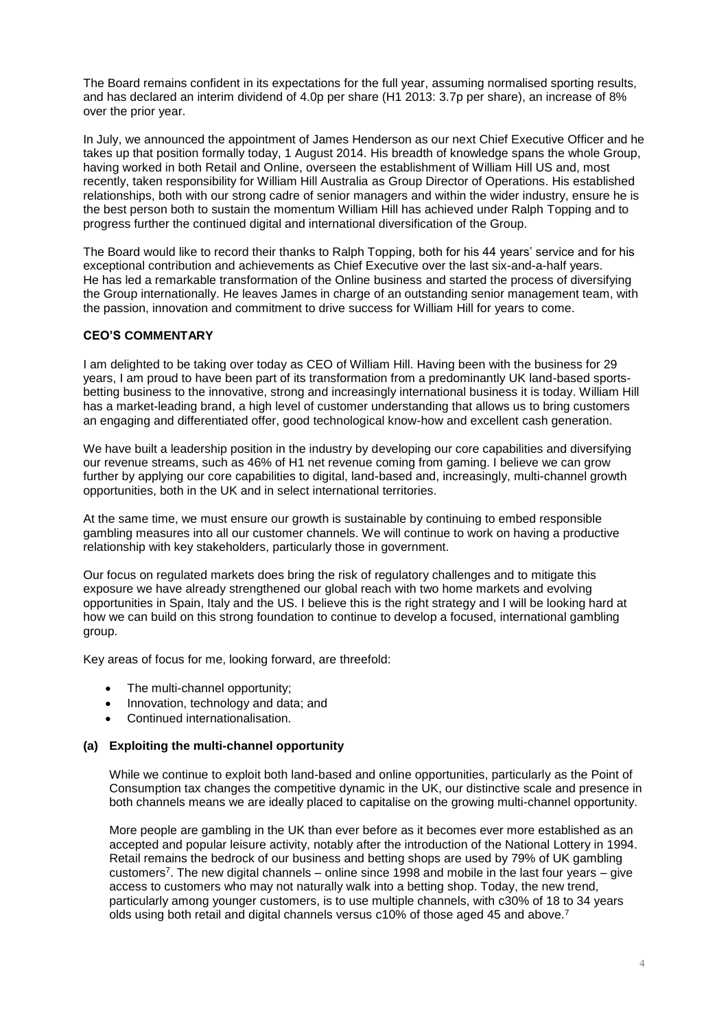The Board remains confident in its expectations for the full year, assuming normalised sporting results, and has declared an interim dividend of 4.0p per share (H1 2013: 3.7p per share), an increase of 8% over the prior year.

In July, we announced the appointment of James Henderson as our next Chief Executive Officer and he takes up that position formally today, 1 August 2014. His breadth of knowledge spans the whole Group, having worked in both Retail and Online, overseen the establishment of William Hill US and, most recently, taken responsibility for William Hill Australia as Group Director of Operations. His established relationships, both with our strong cadre of senior managers and within the wider industry, ensure he is the best person both to sustain the momentum William Hill has achieved under Ralph Topping and to progress further the continued digital and international diversification of the Group.

The Board would like to record their thanks to Ralph Topping, both for his 44 years' service and for his exceptional contribution and achievements as Chief Executive over the last six-and-a-half years. He has led a remarkable transformation of the Online business and started the process of diversifying the Group internationally. He leaves James in charge of an outstanding senior management team, with the passion, innovation and commitment to drive success for William Hill for years to come.

### **CEO'S COMMENTARY**

I am delighted to be taking over today as CEO of William Hill. Having been with the business for 29 years, I am proud to have been part of its transformation from a predominantly UK land-based sportsbetting business to the innovative, strong and increasingly international business it is today. William Hill has a market-leading brand, a high level of customer understanding that allows us to bring customers an engaging and differentiated offer, good technological know-how and excellent cash generation.

We have built a leadership position in the industry by developing our core capabilities and diversifying our revenue streams, such as 46% of H1 net revenue coming from gaming. I believe we can grow further by applying our core capabilities to digital, land-based and, increasingly, multi-channel growth opportunities, both in the UK and in select international territories.

At the same time, we must ensure our growth is sustainable by continuing to embed responsible gambling measures into all our customer channels. We will continue to work on having a productive relationship with key stakeholders, particularly those in government.

Our focus on regulated markets does bring the risk of regulatory challenges and to mitigate this exposure we have already strengthened our global reach with two home markets and evolving opportunities in Spain, Italy and the US. I believe this is the right strategy and I will be looking hard at how we can build on this strong foundation to continue to develop a focused, international gambling group.

Key areas of focus for me, looking forward, are threefold:

- The multi-channel opportunity;
- Innovation, technology and data; and
- Continued internationalisation.

### **(a) Exploiting the multi-channel opportunity**

While we continue to exploit both land-based and online opportunities, particularly as the Point of Consumption tax changes the competitive dynamic in the UK, our distinctive scale and presence in both channels means we are ideally placed to capitalise on the growing multi-channel opportunity.

More people are gambling in the UK than ever before as it becomes ever more established as an accepted and popular leisure activity, notably after the introduction of the National Lottery in 1994. Retail remains the bedrock of our business and betting shops are used by 79% of UK gambling customers<sup>7</sup> . The new digital channels – online since 1998 and mobile in the last four years – give access to customers who may not naturally walk into a betting shop. Today, the new trend, particularly among younger customers, is to use multiple channels, with c30% of 18 to 34 years olds using both retail and digital channels versus c10% of those aged 45 and above.7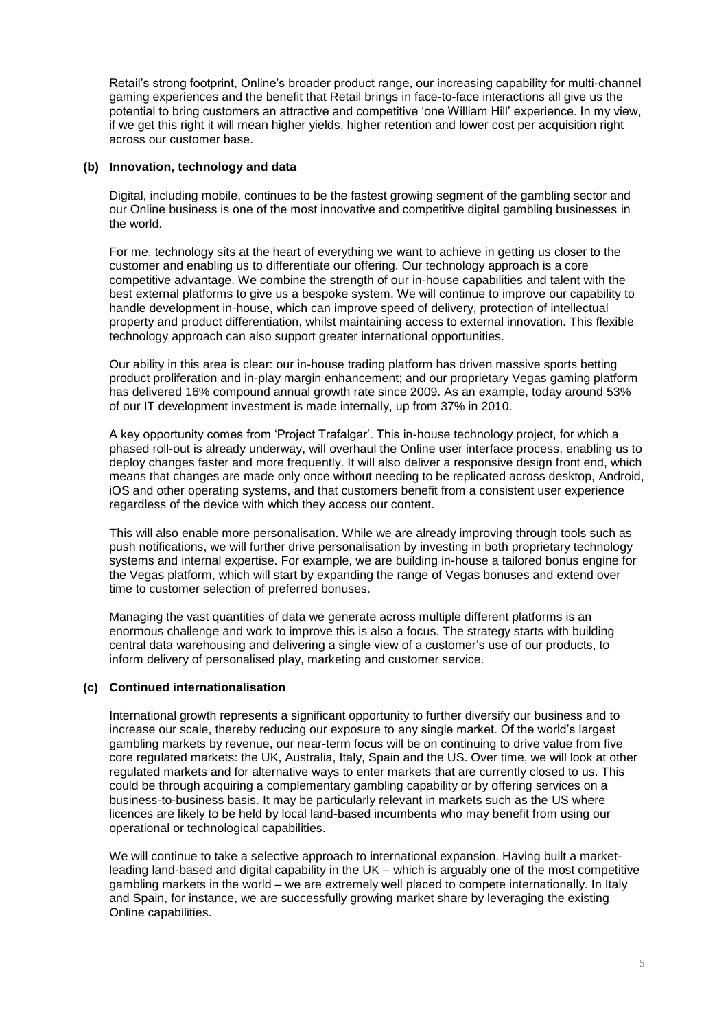Retail's strong footprint, Online's broader product range, our increasing capability for multi-channel gaming experiences and the benefit that Retail brings in face-to-face interactions all give us the potential to bring customers an attractive and competitive 'one William Hill' experience. In my view, if we get this right it will mean higher yields, higher retention and lower cost per acquisition right across our customer base.

### **(b) Innovation, technology and data**

Digital, including mobile, continues to be the fastest growing segment of the gambling sector and our Online business is one of the most innovative and competitive digital gambling businesses in the world.

For me, technology sits at the heart of everything we want to achieve in getting us closer to the customer and enabling us to differentiate our offering. Our technology approach is a core competitive advantage. We combine the strength of our in-house capabilities and talent with the best external platforms to give us a bespoke system. We will continue to improve our capability to handle development in-house, which can improve speed of delivery, protection of intellectual property and product differentiation, whilst maintaining access to external innovation. This flexible technology approach can also support greater international opportunities.

Our ability in this area is clear: our in-house trading platform has driven massive sports betting product proliferation and in-play margin enhancement; and our proprietary Vegas gaming platform has delivered 16% compound annual growth rate since 2009. As an example, today around 53% of our IT development investment is made internally, up from 37% in 2010.

A key opportunity comes from 'Project Trafalgar'. This in-house technology project, for which a phased roll-out is already underway, will overhaul the Online user interface process, enabling us to deploy changes faster and more frequently. It will also deliver a responsive design front end, which means that changes are made only once without needing to be replicated across desktop, Android, iOS and other operating systems, and that customers benefit from a consistent user experience regardless of the device with which they access our content.

This will also enable more personalisation. While we are already improving through tools such as push notifications, we will further drive personalisation by investing in both proprietary technology systems and internal expertise. For example, we are building in-house a tailored bonus engine for the Vegas platform, which will start by expanding the range of Vegas bonuses and extend over time to customer selection of preferred bonuses.

Managing the vast quantities of data we generate across multiple different platforms is an enormous challenge and work to improve this is also a focus. The strategy starts with building central data warehousing and delivering a single view of a customer's use of our products, to inform delivery of personalised play, marketing and customer service.

### **(c) Continued internationalisation**

International growth represents a significant opportunity to further diversify our business and to increase our scale, thereby reducing our exposure to any single market. Of the world's largest gambling markets by revenue, our near-term focus will be on continuing to drive value from five core regulated markets: the UK, Australia, Italy, Spain and the US. Over time, we will look at other regulated markets and for alternative ways to enter markets that are currently closed to us. This could be through acquiring a complementary gambling capability or by offering services on a business-to-business basis. It may be particularly relevant in markets such as the US where licences are likely to be held by local land-based incumbents who may benefit from using our operational or technological capabilities.

We will continue to take a selective approach to international expansion. Having built a marketleading land-based and digital capability in the UK – which is arguably one of the most competitive gambling markets in the world – we are extremely well placed to compete internationally. In Italy and Spain, for instance, we are successfully growing market share by leveraging the existing Online capabilities.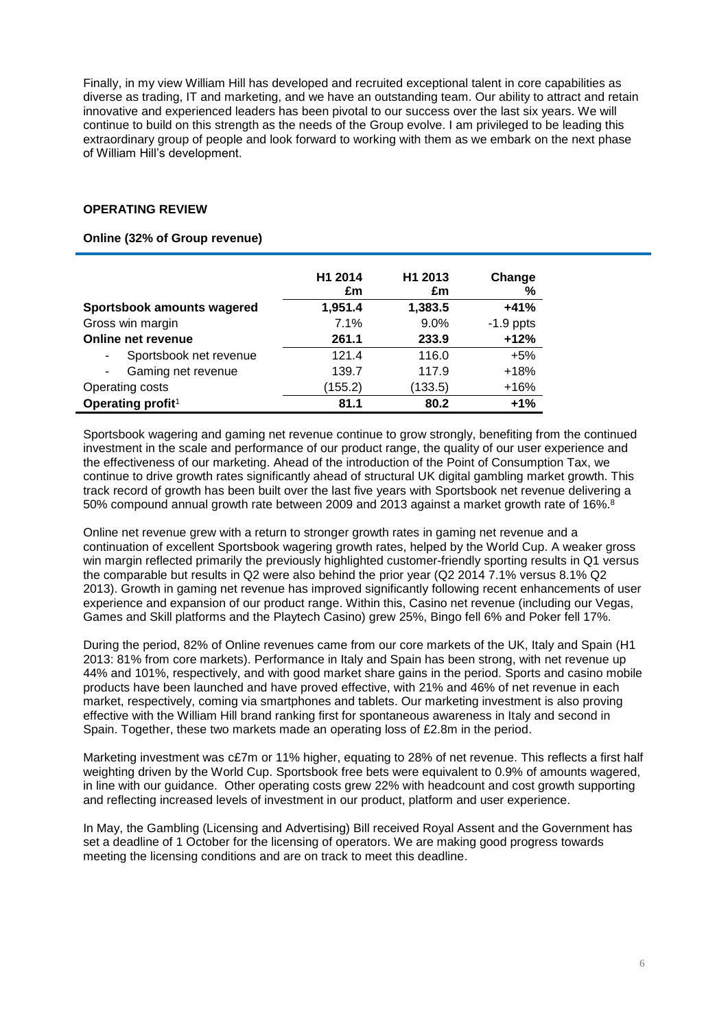Finally, in my view William Hill has developed and recruited exceptional talent in core capabilities as diverse as trading, IT and marketing, and we have an outstanding team. Our ability to attract and retain innovative and experienced leaders has been pivotal to our success over the last six years. We will continue to build on this strength as the needs of the Group evolve. I am privileged to be leading this extraordinary group of people and look forward to working with them as we embark on the next phase of William Hill's development.

### **OPERATING REVIEW**

### **Online (32% of Group revenue)**

|                               | H1 2014<br>£m | H1 2013<br>£m | Change<br>% |
|-------------------------------|---------------|---------------|-------------|
| Sportsbook amounts wagered    | 1,951.4       | 1,383.5       | $+41%$      |
| Gross win margin              | 7.1%          | 9.0%          | $-1.9$ ppts |
| Online net revenue            | 261.1         | 233.9         | $+12%$      |
| Sportsbook net revenue        | 121.4         | 116.0         | $+5%$       |
| Gaming net revenue            | 139.7         | 117.9         | $+18%$      |
| Operating costs               | (155.2)       | (133.5)       | $+16%$      |
| Operating profit <sup>1</sup> | 81.1          | 80.2          | $+1%$       |

Sportsbook wagering and gaming net revenue continue to grow strongly, benefiting from the continued investment in the scale and performance of our product range, the quality of our user experience and the effectiveness of our marketing. Ahead of the introduction of the Point of Consumption Tax, we continue to drive growth rates significantly ahead of structural UK digital gambling market growth. This track record of growth has been built over the last five years with Sportsbook net revenue delivering a 50% compound annual growth rate between 2009 and 2013 against a market growth rate of 16%. 8

Online net revenue grew with a return to stronger growth rates in gaming net revenue and a continuation of excellent Sportsbook wagering growth rates, helped by the World Cup. A weaker gross win margin reflected primarily the previously highlighted customer-friendly sporting results in Q1 versus the comparable but results in Q2 were also behind the prior year (Q2 2014 7.1% versus 8.1% Q2 2013). Growth in gaming net revenue has improved significantly following recent enhancements of user experience and expansion of our product range. Within this, Casino net revenue (including our Vegas, Games and Skill platforms and the Playtech Casino) grew 25%, Bingo fell 6% and Poker fell 17%.

During the period, 82% of Online revenues came from our core markets of the UK, Italy and Spain (H1 2013: 81% from core markets). Performance in Italy and Spain has been strong, with net revenue up 44% and 101%, respectively, and with good market share gains in the period. Sports and casino mobile products have been launched and have proved effective, with 21% and 46% of net revenue in each market, respectively, coming via smartphones and tablets. Our marketing investment is also proving effective with the William Hill brand ranking first for spontaneous awareness in Italy and second in Spain. Together, these two markets made an operating loss of £2.8m in the period.

Marketing investment was c£7m or 11% higher, equating to 28% of net revenue. This reflects a first half weighting driven by the World Cup. Sportsbook free bets were equivalent to 0.9% of amounts wagered, in line with our guidance. Other operating costs grew 22% with headcount and cost growth supporting and reflecting increased levels of investment in our product, platform and user experience.

In May, the Gambling (Licensing and Advertising) Bill received Royal Assent and the Government has set a deadline of 1 October for the licensing of operators. We are making good progress towards meeting the licensing conditions and are on track to meet this deadline.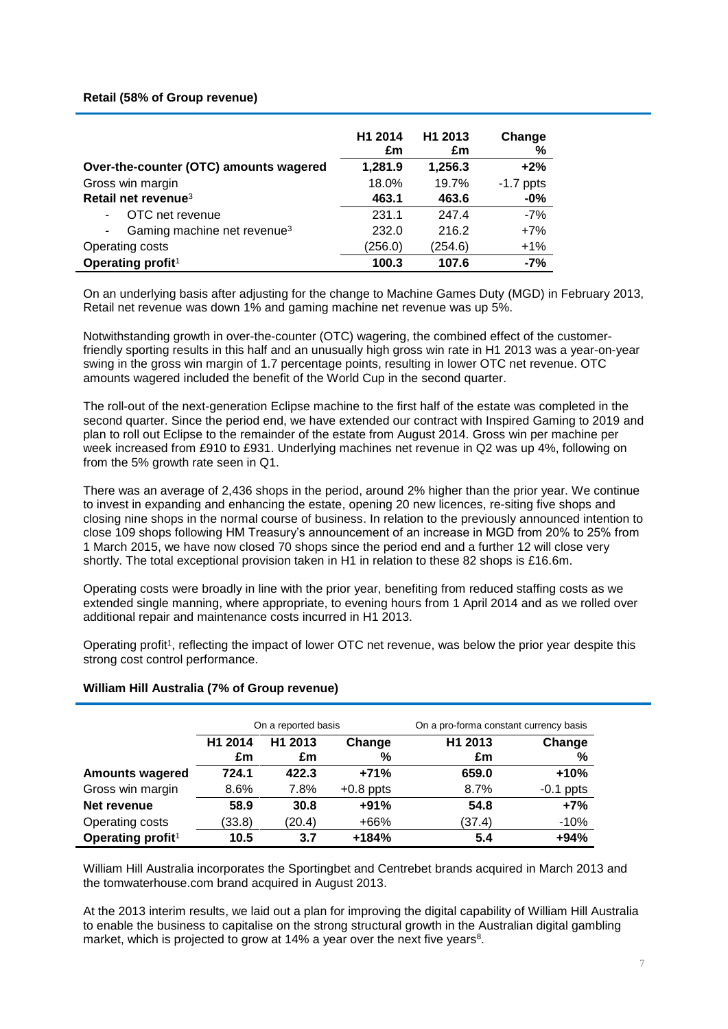### **Retail (58% of Group revenue)**

|                                         | H1 2014<br>£m | H <sub>1</sub> 2013<br>£m | Change<br>℅ |
|-----------------------------------------|---------------|---------------------------|-------------|
| Over-the-counter (OTC) amounts wagered  | 1,281.9       | 1,256.3                   | $+2%$       |
| Gross win margin                        | 18.0%         | 19.7%                     | $-1.7$ ppts |
| Retail net revenue <sup>3</sup>         | 463.1         | 463.6                     | $-0%$       |
| OTC net revenue                         | 231.1         | 247.4                     | $-7%$       |
| Gaming machine net revenue <sup>3</sup> | 232.0         | 216.2                     | $+7%$       |
| Operating costs                         | (256.0)       | (254.6)                   | $+1%$       |
| Operating profit <sup>1</sup>           | 100.3         | 107.6                     | $-7%$       |

On an underlying basis after adjusting for the change to Machine Games Duty (MGD) in February 2013, Retail net revenue was down 1% and gaming machine net revenue was up 5%.

Notwithstanding growth in over-the-counter (OTC) wagering, the combined effect of the customerfriendly sporting results in this half and an unusually high gross win rate in H1 2013 was a year-on-year swing in the gross win margin of 1.7 percentage points, resulting in lower OTC net revenue. OTC amounts wagered included the benefit of the World Cup in the second quarter.

The roll-out of the next-generation Eclipse machine to the first half of the estate was completed in the second quarter. Since the period end, we have extended our contract with Inspired Gaming to 2019 and plan to roll out Eclipse to the remainder of the estate from August 2014. Gross win per machine per week increased from £910 to £931. Underlying machines net revenue in Q2 was up 4%, following on from the 5% growth rate seen in Q1.

There was an average of 2,436 shops in the period, around 2% higher than the prior year. We continue to invest in expanding and enhancing the estate, opening 20 new licences, re-siting five shops and closing nine shops in the normal course of business. In relation to the previously announced intention to close 109 shops following HM Treasury's announcement of an increase in MGD from 20% to 25% from 1 March 2015, we have now closed 70 shops since the period end and a further 12 will close very shortly. The total exceptional provision taken in H1 in relation to these 82 shops is £16.6m.

Operating costs were broadly in line with the prior year, benefiting from reduced staffing costs as we extended single manning, where appropriate, to evening hours from 1 April 2014 and as we rolled over additional repair and maintenance costs incurred in H1 2013.

Operating profit<sup>1</sup>, reflecting the impact of lower OTC net revenue, was below the prior year despite this strong cost control performance.

### **William Hill Australia (7% of Group revenue)**

|                               |               | On a reported basis       |             | On a pro-forma constant currency basis |             |  |  |
|-------------------------------|---------------|---------------------------|-------------|----------------------------------------|-------------|--|--|
|                               | H1 2014<br>£m | H <sub>1</sub> 2013<br>£m | Change<br>% | H <sub>1</sub> 2013<br>£m              | Change<br>% |  |  |
| <b>Amounts wagered</b>        | 724.1         | 422.3                     | $+71%$      | 659.0                                  | $+10%$      |  |  |
| Gross win margin              | 8.6%          | 7.8%                      | $+0.8$ ppts | 8.7%                                   | $-0.1$ ppts |  |  |
| Net revenue                   | 58.9          | 30.8                      | $+91%$      | 54.8                                   | $+7%$       |  |  |
| Operating costs               | (33.8)        | (20.4)                    | $+66%$      | (37.4)                                 | $-10%$      |  |  |
| Operating profit <sup>1</sup> | 10.5          | 3.7                       | $+184%$     | 5.4                                    | $+94%$      |  |  |

William Hill Australia incorporates the Sportingbet and Centrebet brands acquired in March 2013 and the tomwaterhouse.com brand acquired in August 2013.

At the 2013 interim results, we laid out a plan for improving the digital capability of William Hill Australia to enable the business to capitalise on the strong structural growth in the Australian digital gambling market, which is projected to grow at 14% a year over the next five years<sup>8</sup>.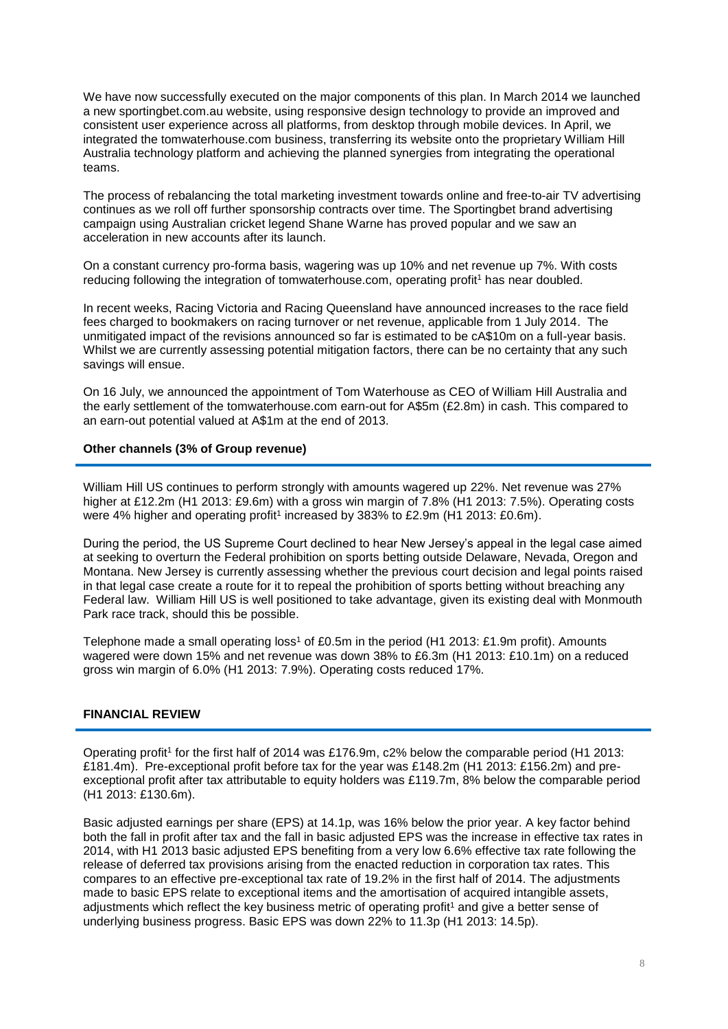We have now successfully executed on the major components of this plan. In March 2014 we launched a new sportingbet.com.au website, using responsive design technology to provide an improved and consistent user experience across all platforms, from desktop through mobile devices. In April, we integrated the tomwaterhouse.com business, transferring its website onto the proprietary William Hill Australia technology platform and achieving the planned synergies from integrating the operational teams.

The process of rebalancing the total marketing investment towards online and free-to-air TV advertising continues as we roll off further sponsorship contracts over time. The Sportingbet brand advertising campaign using Australian cricket legend Shane Warne has proved popular and we saw an acceleration in new accounts after its launch.

On a constant currency pro-forma basis, wagering was up 10% and net revenue up 7%. With costs reducing following the integration of tomwaterhouse.com, operating profit<sup>1</sup> has near doubled.

In recent weeks, Racing Victoria and Racing Queensland have announced increases to the race field fees charged to bookmakers on racing turnover or net revenue, applicable from 1 July 2014. The unmitigated impact of the revisions announced so far is estimated to be cA\$10m on a full-year basis. Whilst we are currently assessing potential mitigation factors, there can be no certainty that any such savings will ensue.

On 16 July, we announced the appointment of Tom Waterhouse as CEO of William Hill Australia and the early settlement of the tomwaterhouse.com earn-out for A\$5m (£2.8m) in cash. This compared to an earn-out potential valued at A\$1m at the end of 2013.

#### **Other channels (3% of Group revenue)**

William Hill US continues to perform strongly with amounts wagered up 22%. Net revenue was 27% higher at £12.2m (H1 2013: £9.6m) with a gross win margin of 7.8% (H1 2013: 7.5%). Operating costs were 4% higher and operating profit<sup>1</sup> increased by 383% to £2.9m (H1 2013: £0.6m).

During the period, the US Supreme Court declined to hear New Jersey's appeal in the legal case aimed at seeking to overturn the Federal prohibition on sports betting outside Delaware, Nevada, Oregon and Montana. New Jersey is currently assessing whether the previous court decision and legal points raised in that legal case create a route for it to repeal the prohibition of sports betting without breaching any Federal law. William Hill US is well positioned to take advantage, given its existing deal with Monmouth Park race track, should this be possible.

Telephone made a small operating loss<sup>1</sup> of £0.5m in the period (H1 2013: £1.9m profit). Amounts wagered were down 15% and net revenue was down 38% to £6.3m (H1 2013: £10.1m) on a reduced gross win margin of 6.0% (H1 2013: 7.9%). Operating costs reduced 17%.

### **FINANCIAL REVIEW**

Operating profit<sup>1</sup> for the first half of 2014 was £176.9m, c2% below the comparable period (H1 2013: £181.4m). Pre-exceptional profit before tax for the year was £148.2m (H1 2013: £156.2m) and preexceptional profit after tax attributable to equity holders was £119.7m, 8% below the comparable period (H1 2013: £130.6m).

Basic adjusted earnings per share (EPS) at 14.1p, was 16% below the prior year. A key factor behind both the fall in profit after tax and the fall in basic adjusted EPS was the increase in effective tax rates in 2014, with H1 2013 basic adjusted EPS benefiting from a very low 6.6% effective tax rate following the release of deferred tax provisions arising from the enacted reduction in corporation tax rates. This compares to an effective pre-exceptional tax rate of 19.2% in the first half of 2014. The adjustments made to basic EPS relate to exceptional items and the amortisation of acquired intangible assets, adjustments which reflect the key business metric of operating profit<sup>1</sup> and give a better sense of underlying business progress. Basic EPS was down 22% to 11.3p (H1 2013: 14.5p).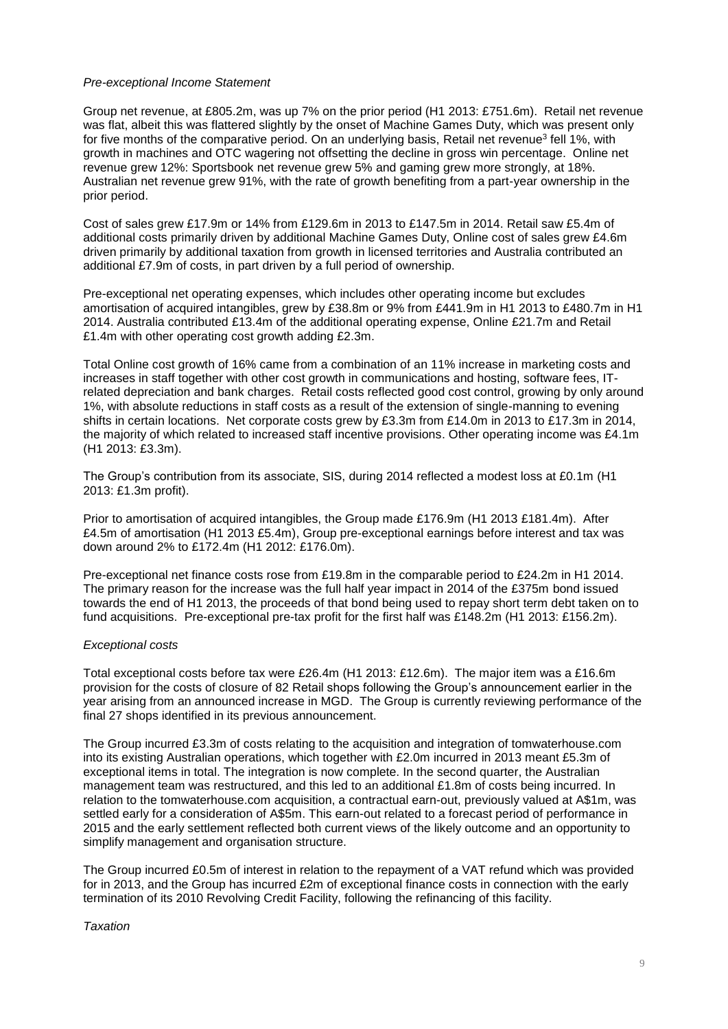#### *Pre-exceptional Income Statement*

Group net revenue, at £805.2m, was up 7% on the prior period (H1 2013: £751.6m). Retail net revenue was flat, albeit this was flattered slightly by the onset of Machine Games Duty, which was present only for five months of the comparative period. On an underlying basis, Retail net revenue<sup>3</sup> fell 1%, with growth in machines and OTC wagering not offsetting the decline in gross win percentage. Online net revenue grew 12%: Sportsbook net revenue grew 5% and gaming grew more strongly, at 18%. Australian net revenue grew 91%, with the rate of growth benefiting from a part-year ownership in the prior period.

Cost of sales grew £17.9m or 14% from £129.6m in 2013 to £147.5m in 2014. Retail saw £5.4m of additional costs primarily driven by additional Machine Games Duty, Online cost of sales grew £4.6m driven primarily by additional taxation from growth in licensed territories and Australia contributed an additional £7.9m of costs, in part driven by a full period of ownership.

Pre-exceptional net operating expenses, which includes other operating income but excludes amortisation of acquired intangibles, grew by £38.8m or 9% from £441.9m in H1 2013 to £480.7m in H1 2014. Australia contributed £13.4m of the additional operating expense, Online £21.7m and Retail £1.4m with other operating cost growth adding £2.3m.

Total Online cost growth of 16% came from a combination of an 11% increase in marketing costs and increases in staff together with other cost growth in communications and hosting, software fees, ITrelated depreciation and bank charges. Retail costs reflected good cost control, growing by only around 1%, with absolute reductions in staff costs as a result of the extension of single-manning to evening shifts in certain locations. Net corporate costs grew by £3.3m from £14.0m in 2013 to £17.3m in 2014, the majority of which related to increased staff incentive provisions. Other operating income was £4.1m (H1 2013: £3.3m).

The Group's contribution from its associate, SIS, during 2014 reflected a modest loss at £0.1m (H1 2013: £1.3m profit).

Prior to amortisation of acquired intangibles, the Group made £176.9m (H1 2013 £181.4m). After £4.5m of amortisation (H1 2013 £5.4m), Group pre-exceptional earnings before interest and tax was down around 2% to £172.4m (H1 2012: £176.0m).

Pre-exceptional net finance costs rose from £19.8m in the comparable period to £24.2m in H1 2014. The primary reason for the increase was the full half year impact in 2014 of the £375m bond issued towards the end of H1 2013, the proceeds of that bond being used to repay short term debt taken on to fund acquisitions. Pre-exceptional pre-tax profit for the first half was £148.2m (H1 2013: £156.2m).

### *Exceptional costs*

Total exceptional costs before tax were £26.4m (H1 2013: £12.6m). The major item was a £16.6m provision for the costs of closure of 82 Retail shops following the Group's announcement earlier in the year arising from an announced increase in MGD. The Group is currently reviewing performance of the final 27 shops identified in its previous announcement.

The Group incurred £3.3m of costs relating to the acquisition and integration of tomwaterhouse.com into its existing Australian operations, which together with £2.0m incurred in 2013 meant £5.3m of exceptional items in total. The integration is now complete. In the second quarter, the Australian management team was restructured, and this led to an additional £1.8m of costs being incurred. In relation to the tomwaterhouse.com acquisition, a contractual earn-out, previously valued at A\$1m, was settled early for a consideration of A\$5m. This earn-out related to a forecast period of performance in 2015 and the early settlement reflected both current views of the likely outcome and an opportunity to simplify management and organisation structure.

The Group incurred £0.5m of interest in relation to the repayment of a VAT refund which was provided for in 2013, and the Group has incurred £2m of exceptional finance costs in connection with the early termination of its 2010 Revolving Credit Facility, following the refinancing of this facility.

#### *Taxation*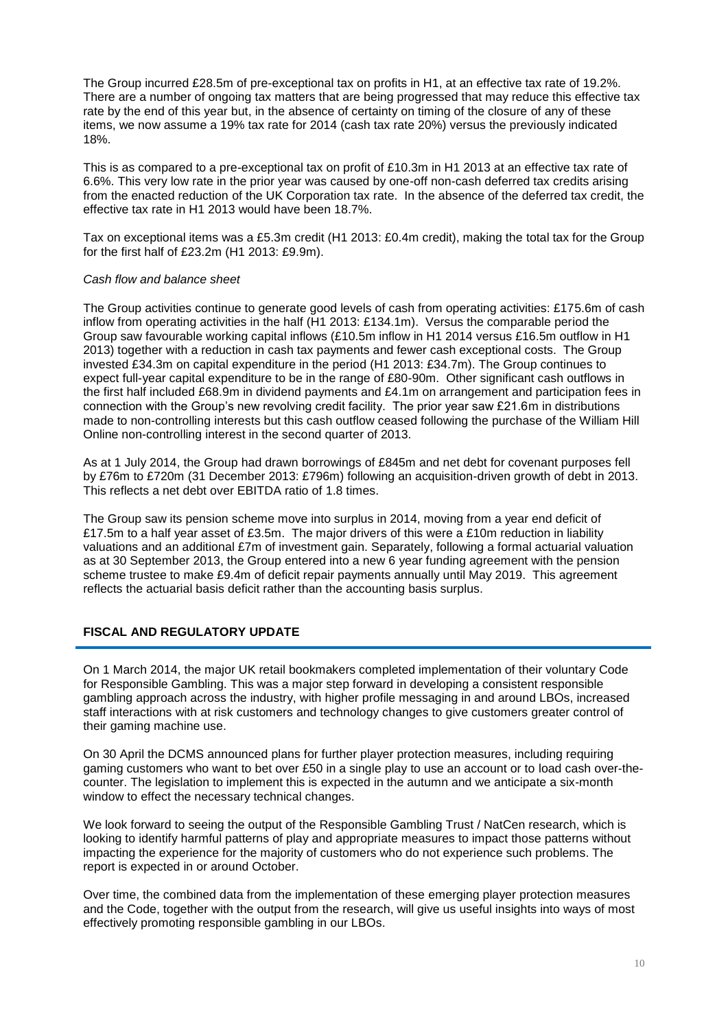The Group incurred £28.5m of pre-exceptional tax on profits in H1, at an effective tax rate of 19.2%. There are a number of ongoing tax matters that are being progressed that may reduce this effective tax rate by the end of this year but, in the absence of certainty on timing of the closure of any of these items, we now assume a 19% tax rate for 2014 (cash tax rate 20%) versus the previously indicated 18%.

This is as compared to a pre-exceptional tax on profit of £10.3m in H1 2013 at an effective tax rate of 6.6%. This very low rate in the prior year was caused by one-off non-cash deferred tax credits arising from the enacted reduction of the UK Corporation tax rate. In the absence of the deferred tax credit, the effective tax rate in H1 2013 would have been 18.7%.

Tax on exceptional items was a £5.3m credit (H1 2013: £0.4m credit), making the total tax for the Group for the first half of £23.2m (H1 2013: £9.9m).

### *Cash flow and balance sheet*

The Group activities continue to generate good levels of cash from operating activities: £175.6m of cash inflow from operating activities in the half (H1 2013: £134.1m). Versus the comparable period the Group saw favourable working capital inflows (£10.5m inflow in H1 2014 versus £16.5m outflow in H1 2013) together with a reduction in cash tax payments and fewer cash exceptional costs. The Group invested £34.3m on capital expenditure in the period (H1 2013: £34.7m). The Group continues to expect full-year capital expenditure to be in the range of £80-90m. Other significant cash outflows in the first half included £68.9m in dividend payments and £4.1m on arrangement and participation fees in connection with the Group's new revolving credit facility. The prior year saw £21.6m in distributions made to non-controlling interests but this cash outflow ceased following the purchase of the William Hill Online non-controlling interest in the second quarter of 2013.

As at 1 July 2014, the Group had drawn borrowings of £845m and net debt for covenant purposes fell by £76m to £720m (31 December 2013: £796m) following an acquisition-driven growth of debt in 2013. This reflects a net debt over EBITDA ratio of 1.8 times.

The Group saw its pension scheme move into surplus in 2014, moving from a year end deficit of £17.5m to a half year asset of £3.5m. The major drivers of this were a £10m reduction in liability valuations and an additional £7m of investment gain. Separately, following a formal actuarial valuation as at 30 September 2013, the Group entered into a new 6 year funding agreement with the pension scheme trustee to make £9.4m of deficit repair payments annually until May 2019. This agreement reflects the actuarial basis deficit rather than the accounting basis surplus.

### **FISCAL AND REGULATORY UPDATE**

On 1 March 2014, the major UK retail bookmakers completed implementation of their voluntary Code for Responsible Gambling. This was a major step forward in developing a consistent responsible gambling approach across the industry, with higher profile messaging in and around LBOs, increased staff interactions with at risk customers and technology changes to give customers greater control of their gaming machine use.

On 30 April the DCMS announced plans for further player protection measures, including requiring gaming customers who want to bet over £50 in a single play to use an account or to load cash over-thecounter. The legislation to implement this is expected in the autumn and we anticipate a six-month window to effect the necessary technical changes.

We look forward to seeing the output of the Responsible Gambling Trust / NatCen research, which is looking to identify harmful patterns of play and appropriate measures to impact those patterns without impacting the experience for the majority of customers who do not experience such problems. The report is expected in or around October.

Over time, the combined data from the implementation of these emerging player protection measures and the Code, together with the output from the research, will give us useful insights into ways of most effectively promoting responsible gambling in our LBOs.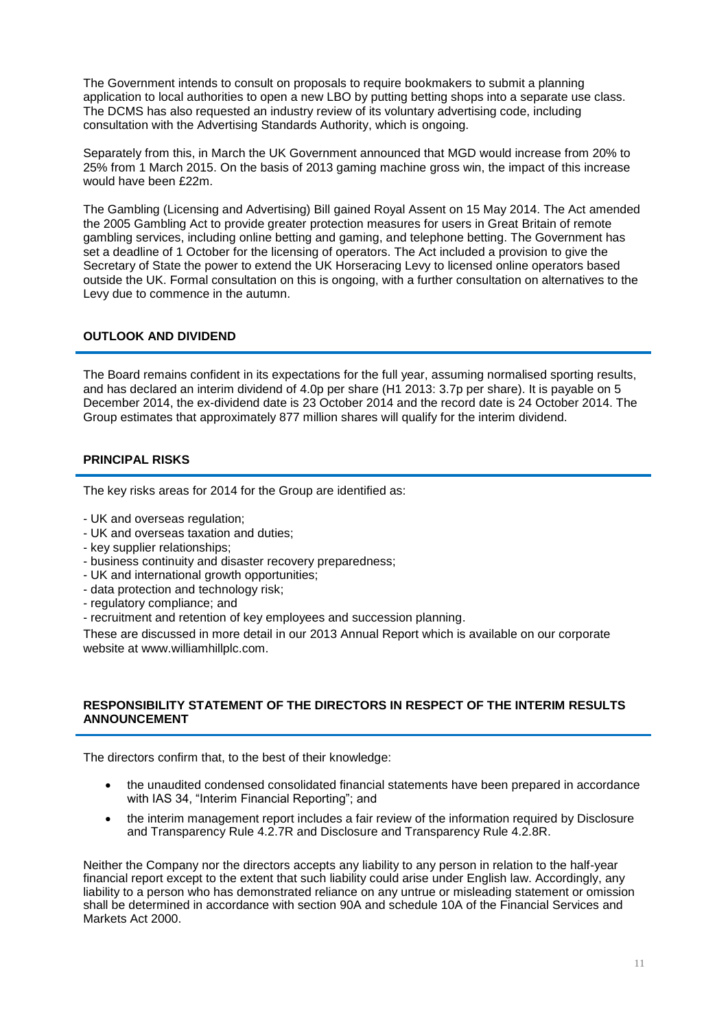The Government intends to consult on proposals to require bookmakers to submit a planning application to local authorities to open a new LBO by putting betting shops into a separate use class. The DCMS has also requested an industry review of its voluntary advertising code, including consultation with the Advertising Standards Authority, which is ongoing.

Separately from this, in March the UK Government announced that MGD would increase from 20% to 25% from 1 March 2015. On the basis of 2013 gaming machine gross win, the impact of this increase would have been £22m.

The Gambling (Licensing and Advertising) Bill gained Royal Assent on 15 May 2014. The Act amended the 2005 Gambling Act to provide greater protection measures for users in Great Britain of remote gambling services, including online betting and gaming, and telephone betting. The Government has set a deadline of 1 October for the licensing of operators. The Act included a provision to give the Secretary of State the power to extend the UK Horseracing Levy to licensed online operators based outside the UK. Formal consultation on this is ongoing, with a further consultation on alternatives to the Levy due to commence in the autumn.

### **OUTLOOK AND DIVIDEND**

The Board remains confident in its expectations for the full year, assuming normalised sporting results, and has declared an interim dividend of 4.0p per share (H1 2013: 3.7p per share). It is payable on 5 December 2014, the ex-dividend date is 23 October 2014 and the record date is 24 October 2014. The Group estimates that approximately 877 million shares will qualify for the interim dividend.

### **PRINCIPAL RISKS**

The key risks areas for 2014 for the Group are identified as:

- UK and overseas regulation;
- UK and overseas taxation and duties;
- key supplier relationships;
- business continuity and disaster recovery preparedness;
- UK and international growth opportunities;
- data protection and technology risk;
- regulatory compliance; and
- recruitment and retention of key employees and succession planning.

These are discussed in more detail in our 2013 Annual Report which is available on our corporate website at www.williamhillplc.com.

### **RESPONSIBILITY STATEMENT OF THE DIRECTORS IN RESPECT OF THE INTERIM RESULTS ANNOUNCEMENT**

The directors confirm that, to the best of their knowledge:

- the unaudited condensed consolidated financial statements have been prepared in accordance with IAS 34, "Interim Financial Reporting"; and
- the interim management report includes a fair review of the information required by Disclosure and Transparency Rule 4.2.7R and Disclosure and Transparency Rule 4.2.8R.

Neither the Company nor the directors accepts any liability to any person in relation to the half-year financial report except to the extent that such liability could arise under English law. Accordingly, any liability to a person who has demonstrated reliance on any untrue or misleading statement or omission shall be determined in accordance with section 90A and schedule 10A of the Financial Services and Markets Act 2000.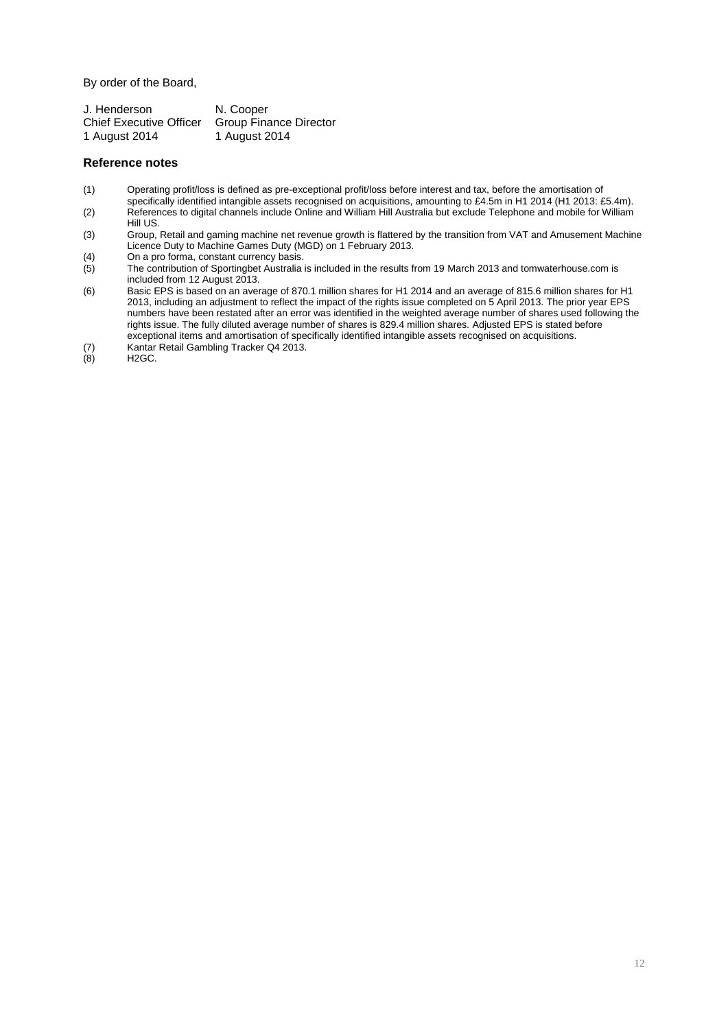By order of the Board,

| J. Henderson                   | N. Cooper              |
|--------------------------------|------------------------|
| <b>Chief Executive Officer</b> | Group Finance Director |
| 1 August 2014                  | 1 August 2014          |

#### **Reference notes**

- (1) Operating profit/loss is defined as pre-exceptional profit/loss before interest and tax, before the amortisation of
- specifically identified intangible assets recognised on acquisitions, amounting to £4.5m in H1 2014 (H1 2013: £5.4m). (2) References to digital channels include Online and William Hill Australia but exclude Telephone and mobile for William Hill US.
- (3) Group, Retail and gaming machine net revenue growth is flattered by the transition from VAT and Amusement Machine Licence Duty to Machine Games Duty (MGD) on 1 February 2013.
- (4) On a pro forma, constant currency basis.<br>(5) The contribution of Sportingbet Australia
- The contribution of Sportingbet Australia is included in the results from 19 March 2013 and tomwaterhouse.com is included from 12 August 2013.
- (6) Basic EPS is based on an average of 870.1 million shares for H1 2014 and an average of 815.6 million shares for H1 2013, including an adjustment to reflect the impact of the rights issue completed on 5 April 2013. The prior year EPS numbers have been restated after an error was identified in the weighted average number of shares used following the rights issue. The fully diluted average number of shares is 829.4 million shares. Adjusted EPS is stated before exceptional items and amortisation of specifically identified intangible assets recognised on acquisitions.
- (7) Kantar Retail Gambling Tracker Q4 2013.
- $H2GC.$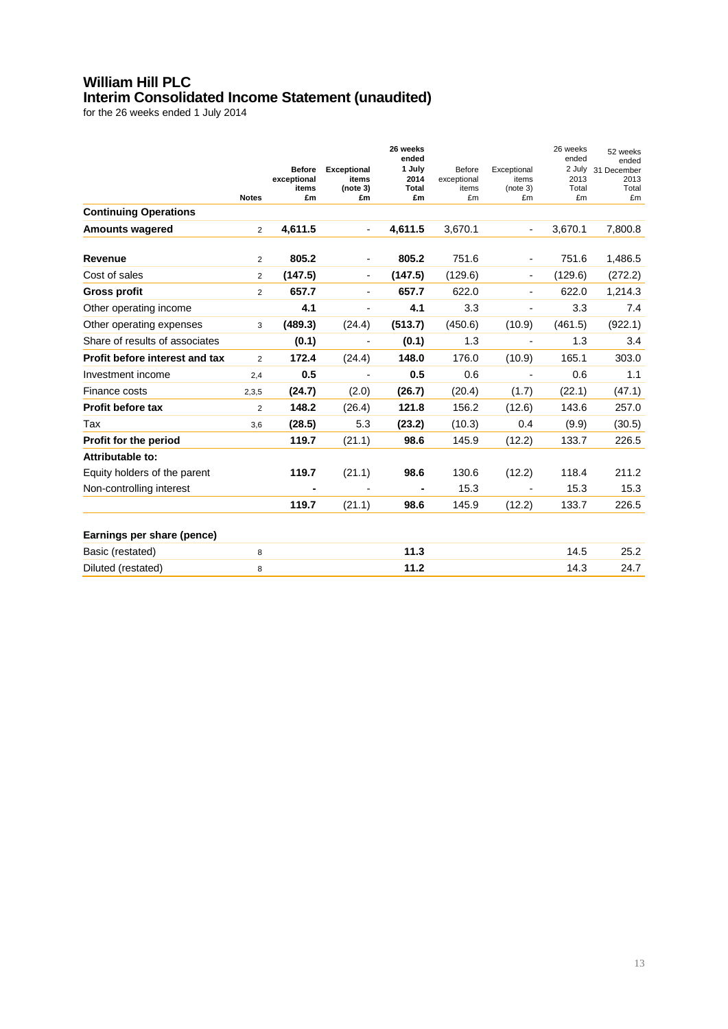## **William Hill PLC Interim Consolidated Income Statement (unaudited)**

|                                |                |                                             |                                               | 26 weeks<br>ended             |                                      |                                        | 26 weeks<br>ended             | 52 weeks<br>ended                  |
|--------------------------------|----------------|---------------------------------------------|-----------------------------------------------|-------------------------------|--------------------------------------|----------------------------------------|-------------------------------|------------------------------------|
|                                | <b>Notes</b>   | <b>Before</b><br>exceptional<br>items<br>£m | <b>Exceptional</b><br>items<br>(note 3)<br>£m | 1 July<br>2014<br>Total<br>£m | Before<br>exceptional<br>items<br>£m | Exceptional<br>items<br>(note 3)<br>£m | 2 July<br>2013<br>Total<br>£m | 31 December<br>2013<br>Total<br>£m |
| <b>Continuing Operations</b>   |                |                                             |                                               |                               |                                      |                                        |                               |                                    |
| <b>Amounts wagered</b>         | $\overline{2}$ | 4,611.5                                     | $\overline{\phantom{a}}$                      | 4,611.5                       | 3,670.1                              | $\overline{a}$                         | 3,670.1                       | 7,800.8                            |
| <b>Revenue</b>                 | $\overline{2}$ | 805.2                                       |                                               | 805.2                         | 751.6                                |                                        | 751.6                         | 1,486.5                            |
| Cost of sales                  | 2              | (147.5)                                     | $\overline{\phantom{a}}$                      | (147.5)                       | (129.6)                              | L,                                     | (129.6)                       | (272.2)                            |
| <b>Gross profit</b>            | $\overline{2}$ | 657.7                                       | Ξ.                                            | 657.7                         | 622.0                                | $\overline{\phantom{0}}$               | 622.0                         | 1,214.3                            |
| Other operating income         |                | 4.1                                         | $\overline{\phantom{0}}$                      | 4.1                           | 3.3                                  | ÷                                      | 3.3                           | 7.4                                |
| Other operating expenses       | 3              | (489.3)                                     | (24.4)                                        | (513.7)                       | (450.6)                              | (10.9)                                 | (461.5)                       | (922.1)                            |
| Share of results of associates |                | (0.1)                                       |                                               | (0.1)                         | 1.3                                  |                                        | 1.3                           | 3.4                                |
| Profit before interest and tax | $\overline{2}$ | 172.4                                       | (24.4)                                        | 148.0                         | 176.0                                | (10.9)                                 | 165.1                         | 303.0                              |
| Investment income              | 2,4            | 0.5                                         | $\overline{\phantom{a}}$                      | 0.5                           | 0.6                                  | $\overline{\phantom{m}}$               | 0.6                           | 1.1                                |
| Finance costs                  | 2,3,5          | (24.7)                                      | (2.0)                                         | (26.7)                        | (20.4)                               | (1.7)                                  | (22.1)                        | (47.1)                             |
| Profit before tax              | $\overline{2}$ | 148.2                                       | (26.4)                                        | 121.8                         | 156.2                                | (12.6)                                 | 143.6                         | 257.0                              |
| Tax                            | 3,6            | (28.5)                                      | 5.3                                           | (23.2)                        | (10.3)                               | 0.4                                    | (9.9)                         | (30.5)                             |
| Profit for the period          |                | 119.7                                       | (21.1)                                        | 98.6                          | 145.9                                | (12.2)                                 | 133.7                         | 226.5                              |
| Attributable to:               |                |                                             |                                               |                               |                                      |                                        |                               |                                    |
| Equity holders of the parent   |                | 119.7                                       | (21.1)                                        | 98.6                          | 130.6                                | (12.2)                                 | 118.4                         | 211.2                              |
| Non-controlling interest       |                |                                             |                                               |                               | 15.3                                 |                                        | 15.3                          | 15.3                               |
|                                |                | 119.7                                       | (21.1)                                        | 98.6                          | 145.9                                | (12.2)                                 | 133.7                         | 226.5                              |
| Earnings per share (pence)     |                |                                             |                                               |                               |                                      |                                        |                               |                                    |
| Basic (restated)               | 8              |                                             |                                               | 11.3                          |                                      |                                        | 14.5                          | 25.2                               |
| Diluted (restated)             | 8              |                                             |                                               | 11.2                          |                                      |                                        | 14.3                          | 24.7                               |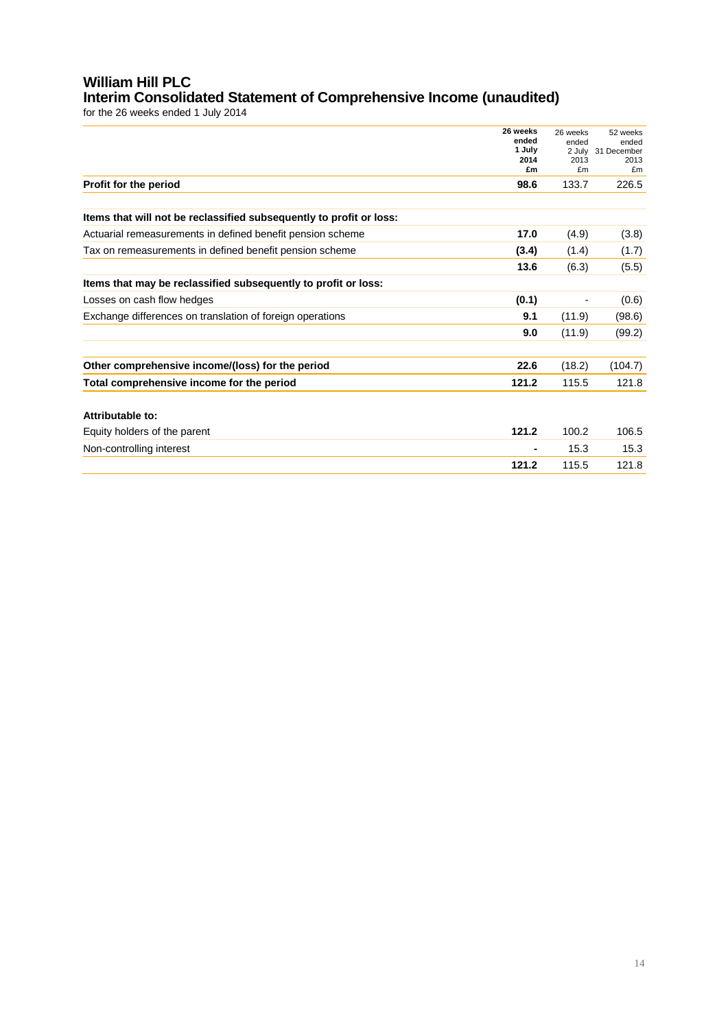### **William Hill PLC Interim Consolidated Statement of Comprehensive Income (unaudited)**

|                                                                     | 26 weeks<br>ended<br>1 July<br>2014<br>£m                                                                                                                                                    | 26 weeks<br>ended<br>2 July<br>2013<br>£m | 52 weeks<br>ended<br>31 December<br>2013<br>£m |
|---------------------------------------------------------------------|----------------------------------------------------------------------------------------------------------------------------------------------------------------------------------------------|-------------------------------------------|------------------------------------------------|
| Profit for the period                                               | 98.6<br>133.7<br>17.0<br>(4.9)<br>(3.4)<br>(1.4)<br>13.6<br>(6.3)<br>(0.1)<br>9.1<br>(11.9)<br>(11.9)<br>9.0<br>22.6<br>(18.2)<br>121.2<br>115.5<br>100.2<br>121.2<br>15.3<br>121.2<br>115.5 | 226.5                                     |                                                |
| Items that will not be reclassified subsequently to profit or loss: |                                                                                                                                                                                              |                                           |                                                |
| Actuarial remeasurements in defined benefit pension scheme          |                                                                                                                                                                                              |                                           | (3.8)                                          |
| Tax on remeasurements in defined benefit pension scheme             |                                                                                                                                                                                              |                                           | (1.7)                                          |
|                                                                     |                                                                                                                                                                                              |                                           | (5.5)                                          |
| Items that may be reclassified subsequently to profit or loss:      |                                                                                                                                                                                              |                                           |                                                |
| Losses on cash flow hedges                                          |                                                                                                                                                                                              |                                           | (0.6)                                          |
| Exchange differences on translation of foreign operations           |                                                                                                                                                                                              |                                           | (98.6)                                         |
|                                                                     |                                                                                                                                                                                              |                                           | (99.2)                                         |
|                                                                     |                                                                                                                                                                                              |                                           |                                                |
| Other comprehensive income/(loss) for the period                    |                                                                                                                                                                                              |                                           | (104.7)                                        |
| Total comprehensive income for the period                           |                                                                                                                                                                                              |                                           | 121.8                                          |
| Attributable to:                                                    |                                                                                                                                                                                              |                                           |                                                |
| Equity holders of the parent                                        |                                                                                                                                                                                              |                                           | 106.5                                          |
| Non-controlling interest                                            |                                                                                                                                                                                              |                                           | 15.3                                           |
|                                                                     |                                                                                                                                                                                              |                                           | 121.8                                          |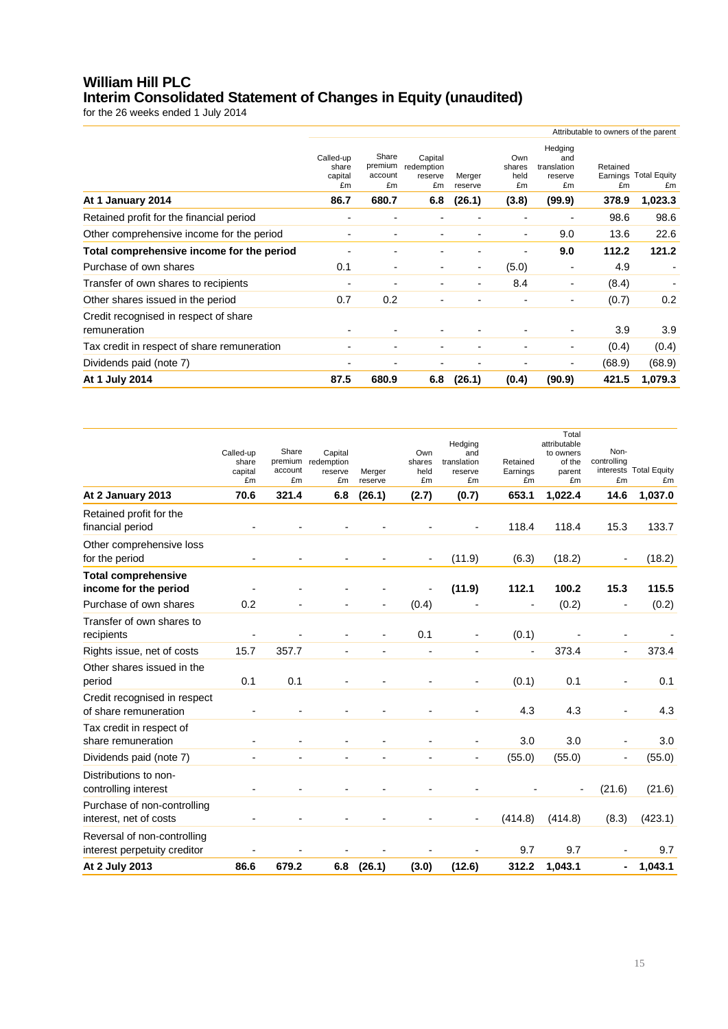## **William Hill PLC Interim Consolidated Statement of Changes in Equity (unaudited)**

|                                                       | Attributable to owners of the parent        |                                            |                                               |                             |                                      |                                                          |                         |                                        |
|-------------------------------------------------------|---------------------------------------------|--------------------------------------------|-----------------------------------------------|-----------------------------|--------------------------------------|----------------------------------------------------------|-------------------------|----------------------------------------|
| At 1 January 2014                                     | Called-up<br>share<br>capital<br>£m<br>86.7 | Share<br>premium<br>account<br>£m<br>680.7 | Capital<br>redemption<br>reserve<br>£m<br>6.8 | Merger<br>reserve<br>(26.1) | Own<br>shares<br>held<br>£m<br>(3.8) | Hedging<br>and<br>translation<br>reserve<br>£m<br>(99.9) | Retained<br>£m<br>378.9 | Earnings Total Equity<br>£m<br>1,023.3 |
| Retained profit for the financial period              |                                             |                                            |                                               |                             |                                      |                                                          | 98.6                    | 98.6                                   |
| Other comprehensive income for the period             | $\blacksquare$                              |                                            |                                               |                             | $\overline{\phantom{0}}$             | 9.0                                                      | 13.6                    | 22.6                                   |
| Total comprehensive income for the period             |                                             |                                            |                                               |                             |                                      | 9.0                                                      | 112.2                   | 121.2                                  |
| Purchase of own shares                                | 0.1                                         | $\overline{\phantom{0}}$                   |                                               | ۰                           | (5.0)                                |                                                          | 4.9                     |                                        |
| Transfer of own shares to recipients                  | -                                           | $\overline{\phantom{0}}$                   |                                               |                             | 8.4                                  | $\overline{\phantom{a}}$                                 | (8.4)                   |                                        |
| Other shares issued in the period                     | 0.7                                         | 0.2                                        |                                               |                             |                                      | $\overline{\phantom{a}}$                                 | (0.7)                   | 0.2                                    |
| Credit recognised in respect of share<br>remuneration |                                             |                                            |                                               |                             |                                      |                                                          | 3.9                     | 3.9                                    |
| Tax credit in respect of share remuneration           | $\blacksquare$                              | $\overline{\phantom{0}}$                   |                                               |                             |                                      | $\overline{\phantom{a}}$                                 | (0.4)                   | (0.4)                                  |
| Dividends paid (note 7)                               | -                                           |                                            |                                               |                             |                                      | $\overline{\phantom{a}}$                                 | (68.9)                  | (68.9)                                 |
| At 1 July 2014                                        | 87.5                                        | 680.9                                      | 6.8                                           | (26.1)                      | (0.4)                                | (90.9)                                                   | 421.5                   | 1,079.3                                |

|                              |                          |                    |                          |                |                | Hedging                  |                          | Total<br>attributable    |                          |                        |
|------------------------------|--------------------------|--------------------|--------------------------|----------------|----------------|--------------------------|--------------------------|--------------------------|--------------------------|------------------------|
|                              | Called-up                | Share              | Capital                  |                | Own            | and                      |                          | to owners                | Non-                     |                        |
|                              | share<br>capital         | premium<br>account | redemption<br>reserve    | Merger         | shares<br>held | translation<br>reserve   | Retained<br>Earnings     | of the<br>parent         | controlling              | interests Total Equity |
|                              | £m                       | £m                 | £m                       | reserve        | £m             | £m                       | £m                       | £m                       | £m                       | £m                     |
| At 2 January 2013            | 70.6                     | 321.4              | 6.8                      | (26.1)         | (2.7)          | (0.7)                    | 653.1                    | 1,022.4                  | 14.6                     | 1,037.0                |
| Retained profit for the      |                          |                    |                          |                |                |                          |                          |                          |                          |                        |
| financial period             | $\overline{\phantom{a}}$ |                    |                          |                |                | $\overline{a}$           | 118.4                    | 118.4                    | 15.3                     | 133.7                  |
| Other comprehensive loss     |                          |                    |                          |                |                |                          |                          |                          |                          |                        |
| for the period               |                          |                    |                          |                |                | (11.9)                   | (6.3)                    | (18.2)                   | $\overline{a}$           | (18.2)                 |
| <b>Total comprehensive</b>   |                          |                    |                          |                |                |                          |                          |                          |                          |                        |
| income for the period        |                          |                    |                          |                |                | (11.9)                   | 112.1                    | 100.2                    | 15.3                     | 115.5                  |
| Purchase of own shares       | 0.2                      |                    |                          |                | (0.4)          |                          |                          | (0.2)                    | $\overline{a}$           | (0.2)                  |
| Transfer of own shares to    |                          |                    |                          |                |                |                          |                          |                          |                          |                        |
| recipients                   | $\overline{\phantom{a}}$ |                    | $\blacksquare$           | $\overline{a}$ | 0.1            | $\blacksquare$           | (0.1)                    |                          | -                        |                        |
| Rights issue, net of costs   | 15.7                     | 357.7              | $\blacksquare$           | $\overline{a}$ |                | $\overline{\phantom{a}}$ | $\overline{\phantom{a}}$ | 373.4                    | $\overline{\phantom{a}}$ | 373.4                  |
| Other shares issued in the   |                          |                    |                          |                |                |                          |                          |                          |                          |                        |
| period                       | 0.1                      | 0.1                | $\overline{\phantom{a}}$ |                |                |                          | (0.1)                    | 0.1                      | ۰                        | 0.1                    |
| Credit recognised in respect |                          |                    |                          |                |                |                          |                          |                          |                          |                        |
| of share remuneration        | $\overline{a}$           |                    |                          |                |                |                          | 4.3                      | 4.3                      | $\overline{a}$           | 4.3                    |
| Tax credit in respect of     |                          |                    |                          |                |                |                          |                          |                          |                          |                        |
| share remuneration           |                          |                    |                          |                |                |                          | 3.0                      | 3.0                      | ۰                        | 3.0                    |
| Dividends paid (note 7)      |                          | $\overline{a}$     | $\overline{\phantom{a}}$ | $\overline{a}$ |                | $\overline{\phantom{a}}$ | (55.0)                   | (55.0)                   | $\overline{a}$           | (55.0)                 |
| Distributions to non-        |                          |                    |                          |                |                |                          |                          |                          |                          |                        |
| controlling interest         |                          |                    | $\overline{\phantom{a}}$ |                |                |                          |                          | $\overline{\phantom{a}}$ | (21.6)                   | (21.6)                 |
| Purchase of non-controlling  |                          |                    |                          |                |                |                          |                          |                          |                          |                        |
| interest, net of costs       |                          |                    |                          |                |                |                          | (414.8)                  | (414.8)                  | (8.3)                    | (423.1)                |
| Reversal of non-controlling  |                          |                    |                          |                |                |                          |                          |                          |                          |                        |
| interest perpetuity creditor |                          |                    |                          |                |                |                          | 9.7                      | 9.7                      |                          | 9.7                    |
| At 2 July 2013               | 86.6                     | 679.2              | 6.8                      | (26.1)         | (3.0)          | (12.6)                   | 312.2                    | 1,043.1                  | $\blacksquare$           | 1,043.1                |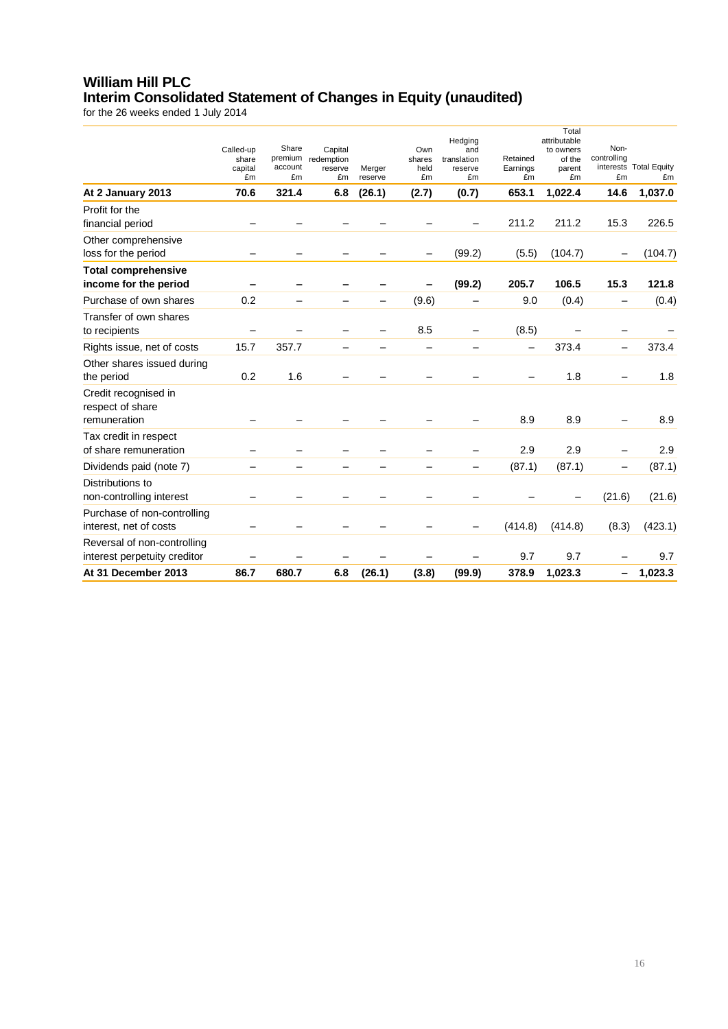## **William Hill PLC Interim Consolidated Statement of Changes in Equity (unaudited)**

|                                                       |                          |                          |               |                   |            |                          |                | Total<br>attributable |                          |                              |
|-------------------------------------------------------|--------------------------|--------------------------|---------------|-------------------|------------|--------------------------|----------------|-----------------------|--------------------------|------------------------------|
|                                                       | Called-up                | Share                    | Capital       |                   | Own        | Hedging<br>and           |                | to owners             | Non-                     |                              |
|                                                       | share                    | premium                  | redemption    |                   | shares     | translation              | Retained       | of the                | controlling              |                              |
|                                                       | capital<br>£m            | account<br>£m            | reserve<br>£m | Merger<br>reserve | held<br>£m | reserve<br>£m            | Earnings<br>£m | parent<br>£m          | £m                       | interests Total Equity<br>£m |
| At 2 January 2013                                     | 70.6                     | 321.4                    | 6.8           | (26.1)            | (2.7)      | (0.7)                    | 653.1          | 1,022.4               | 14.6                     | 1,037.0                      |
| Profit for the                                        |                          |                          |               |                   |            |                          |                |                       |                          |                              |
| financial period                                      |                          |                          |               |                   |            |                          | 211.2          | 211.2                 | 15.3                     | 226.5                        |
| Other comprehensive<br>loss for the period            |                          |                          |               |                   |            | (99.2)                   | (5.5)          | (104.7)               |                          | (104.7)                      |
| <b>Total comprehensive</b>                            |                          |                          |               |                   |            |                          |                |                       |                          |                              |
| income for the period                                 |                          |                          |               |                   |            | (99.2)                   | 205.7          | 106.5                 | 15.3                     | 121.8                        |
| Purchase of own shares                                | 0.2                      |                          |               |                   | (9.6)      |                          | 9.0            | (0.4)                 | $\overline{\phantom{0}}$ | (0.4)                        |
| Transfer of own shares                                |                          |                          |               |                   |            |                          |                |                       |                          |                              |
| to recipients                                         | -                        |                          |               |                   | 8.5        | -                        | (8.5)          |                       |                          |                              |
| Rights issue, net of costs                            | 15.7                     | 357.7                    | —             |                   | -          | —                        | —              | 373.4                 | $\overline{\phantom{0}}$ | 373.4                        |
| Other shares issued during                            |                          |                          |               |                   |            |                          |                |                       |                          |                              |
| the period                                            | 0.2                      | 1.6                      |               |                   |            |                          |                | 1.8                   |                          | 1.8                          |
| Credit recognised in<br>respect of share              |                          |                          |               |                   |            |                          |                |                       |                          |                              |
| remuneration                                          |                          |                          |               |                   |            |                          | 8.9            | 8.9                   |                          | 8.9                          |
| Tax credit in respect                                 |                          |                          |               |                   |            |                          |                |                       |                          |                              |
| of share remuneration                                 |                          |                          |               |                   |            |                          | 2.9            | 2.9                   | —                        | 2.9                          |
| Dividends paid (note 7)                               | $\overline{\phantom{0}}$ | $\overline{\phantom{0}}$ | -             |                   |            | $\overline{\phantom{0}}$ | (87.1)         | (87.1)                | $\overline{\phantom{0}}$ | (87.1)                       |
| Distributions to                                      |                          |                          |               |                   |            |                          |                |                       |                          |                              |
| non-controlling interest                              |                          |                          |               |                   |            |                          |                |                       | (21.6)                   | (21.6)                       |
| Purchase of non-controlling<br>interest, net of costs |                          |                          |               |                   |            |                          | (414.8)        | (414.8)               | (8.3)                    | (423.1)                      |
| Reversal of non-controlling                           |                          |                          |               |                   |            |                          |                |                       |                          |                              |
| interest perpetuity creditor                          |                          |                          |               |                   |            |                          | 9.7            | 9.7                   |                          | 9.7                          |
| At 31 December 2013                                   | 86.7                     | 680.7                    | 6.8           | (26.1)            | (3.8)      | (99.9)                   | 378.9          | 1,023.3               |                          | 1,023.3                      |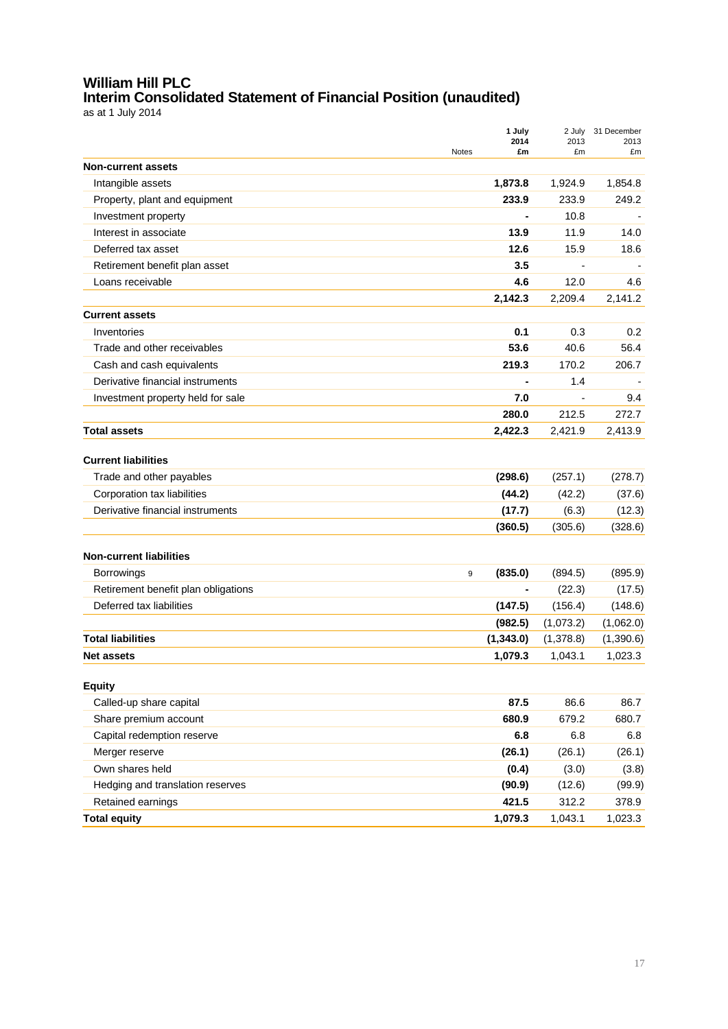## **William Hill PLC Interim Consolidated Statement of Financial Position (unaudited)**

as at 1 July 2014

|                                     | 1 July<br>2014     | 2 July<br>2013 | 31 December |
|-------------------------------------|--------------------|----------------|-------------|
|                                     | <b>Notes</b><br>£m | £m             | 2013<br>£m  |
| <b>Non-current assets</b>           |                    |                |             |
| Intangible assets                   | 1,873.8            | 1,924.9        | 1,854.8     |
| Property, plant and equipment       | 233.9              | 233.9          | 249.2       |
| Investment property                 | ä,                 | 10.8           |             |
| Interest in associate               | 13.9               | 11.9           | 14.0        |
| Deferred tax asset                  | 12.6               | 15.9           | 18.6        |
| Retirement benefit plan asset       | 3.5                |                |             |
| Loans receivable                    | 4.6                | 12.0           | 4.6         |
|                                     | 2,142.3            | 2,209.4        | 2,141.2     |
| <b>Current assets</b>               |                    |                |             |
| Inventories                         | 0.1                | 0.3            | 0.2         |
| Trade and other receivables         | 53.6               | 40.6           | 56.4        |
| Cash and cash equivalents           | 219.3              | 170.2          | 206.7       |
| Derivative financial instruments    |                    | 1.4            |             |
| Investment property held for sale   | 7.0                |                | 9.4         |
|                                     | 280.0              | 212.5          | 272.7       |
| <b>Total assets</b>                 | 2,422.3            | 2,421.9        | 2,413.9     |
|                                     |                    |                |             |
| <b>Current liabilities</b>          |                    |                |             |
| Trade and other payables            | (298.6)            | (257.1)        | (278.7)     |
| Corporation tax liabilities         | (44.2)             | (42.2)         | (37.6)      |
| Derivative financial instruments    | (17.7)             | (6.3)          | (12.3)      |
|                                     | (360.5)            | (305.6)        | (328.6)     |
|                                     |                    |                |             |
| <b>Non-current liabilities</b>      |                    |                |             |
| <b>Borrowings</b>                   | (835.0)<br>9       | (894.5)        | (895.9)     |
| Retirement benefit plan obligations | $\blacksquare$     | (22.3)         | (17.5)      |
| Deferred tax liabilities            | (147.5)            | (156.4)        | (148.6)     |
|                                     | (982.5)            | (1,073.2)      | (1,062.0)   |
| <b>Total liabilities</b>            | (1,343.0)          | (1,378.8)      | (1,390.6)   |
| <b>Net assets</b>                   | 1,079.3            | 1,043.1        | 1,023.3     |
| <b>Equity</b>                       |                    |                |             |
| Called-up share capital             | 87.5               | 86.6           | 86.7        |
| Share premium account               | 680.9              | 679.2          | 680.7       |
|                                     |                    |                |             |
| Capital redemption reserve          | 6.8                | 6.8            | 6.8         |
| Merger reserve                      | (26.1)             | (26.1)         | (26.1)      |
| Own shares held                     | (0.4)              | (3.0)          | (3.8)       |
| Hedging and translation reserves    | (90.9)             | (12.6)         | (99.9)      |
| Retained earnings                   | 421.5              | 312.2          | 378.9       |
| <b>Total equity</b>                 | 1,079.3            | 1,043.1        | 1,023.3     |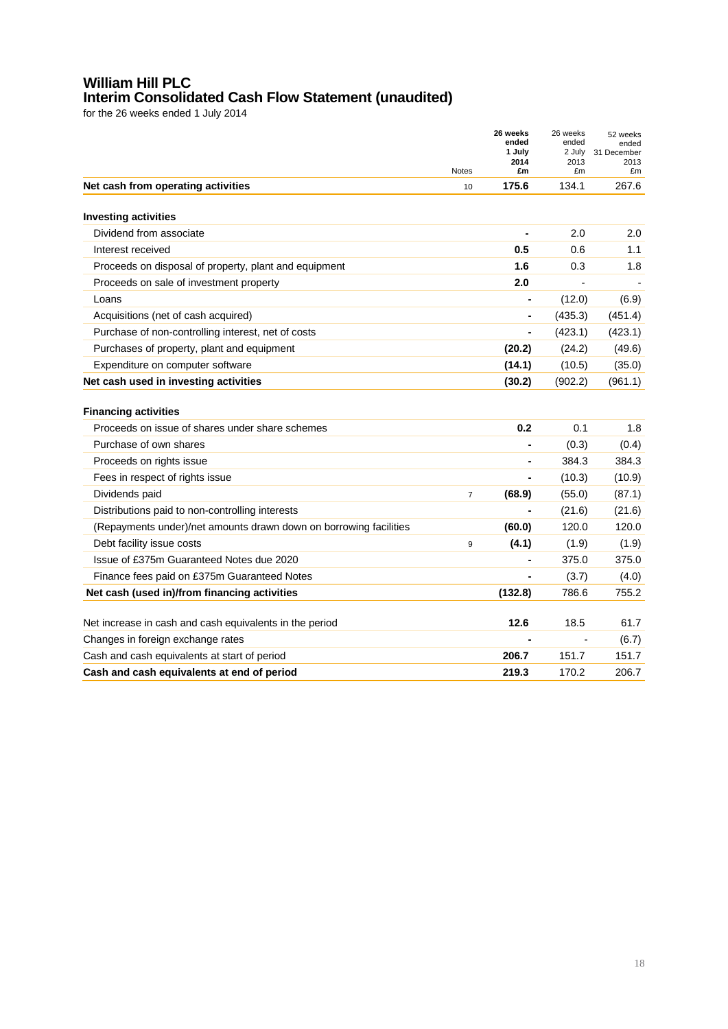## **William Hill PLC Interim Consolidated Cash Flow Statement (unaudited)**

|                                                                   | <b>Notes</b>   | 26 weeks<br>ended<br>1 July<br>2014<br>£m | 26 weeks<br>ended<br>2 July<br>2013<br>£m | 52 weeks<br>ended<br>31 December<br>2013<br>£m |
|-------------------------------------------------------------------|----------------|-------------------------------------------|-------------------------------------------|------------------------------------------------|
| Net cash from operating activities                                | 10             | 175.6                                     | 134.1                                     | 267.6                                          |
| <b>Investing activities</b>                                       |                |                                           |                                           |                                                |
| Dividend from associate                                           |                | $\blacksquare$                            | 2.0                                       | 2.0                                            |
| Interest received                                                 |                | 0.5                                       | 0.6                                       | 1.1                                            |
| Proceeds on disposal of property, plant and equipment             |                | 1.6                                       | 0.3                                       | 1.8                                            |
| Proceeds on sale of investment property                           |                | 2.0                                       |                                           |                                                |
| Loans                                                             |                |                                           | (12.0)                                    | (6.9)                                          |
| Acquisitions (net of cash acquired)                               |                |                                           | (435.3)                                   | (451.4)                                        |
| Purchase of non-controlling interest, net of costs                |                |                                           | (423.1)                                   | (423.1)                                        |
| Purchases of property, plant and equipment                        |                | (20.2)                                    | (24.2)                                    | (49.6)                                         |
| Expenditure on computer software                                  |                | (14.1)                                    | (10.5)                                    | (35.0)                                         |
| Net cash used in investing activities                             |                | (30.2)                                    | (902.2)                                   | (961.1)                                        |
| <b>Financing activities</b>                                       |                |                                           |                                           |                                                |
| Proceeds on issue of shares under share schemes                   |                | 0.2                                       | 0.1                                       | 1.8                                            |
| Purchase of own shares                                            |                |                                           | (0.3)                                     | (0.4)                                          |
| Proceeds on rights issue                                          |                |                                           | 384.3                                     | 384.3                                          |
| Fees in respect of rights issue                                   |                |                                           | (10.3)                                    | (10.9)                                         |
| Dividends paid                                                    | $\overline{7}$ | (68.9)                                    | (55.0)                                    | (87.1)                                         |
| Distributions paid to non-controlling interests                   |                |                                           | (21.6)                                    | (21.6)                                         |
| (Repayments under)/net amounts drawn down on borrowing facilities |                | (60.0)                                    | 120.0                                     | 120.0                                          |
| Debt facility issue costs                                         | 9              | (4.1)                                     | (1.9)                                     | (1.9)                                          |
| Issue of £375m Guaranteed Notes due 2020                          |                | ä,                                        | 375.0                                     | 375.0                                          |
| Finance fees paid on £375m Guaranteed Notes                       |                |                                           | (3.7)                                     | (4.0)                                          |
| Net cash (used in)/from financing activities                      |                | (132.8)                                   | 786.6                                     | 755.2                                          |
| Net increase in cash and cash equivalents in the period           |                | 12.6                                      | 18.5                                      | 61.7                                           |
| Changes in foreign exchange rates                                 |                |                                           |                                           | (6.7)                                          |
| Cash and cash equivalents at start of period                      |                | 206.7                                     | 151.7                                     | 151.7                                          |
| Cash and cash equivalents at end of period                        |                | 219.3                                     | 170.2                                     | 206.7                                          |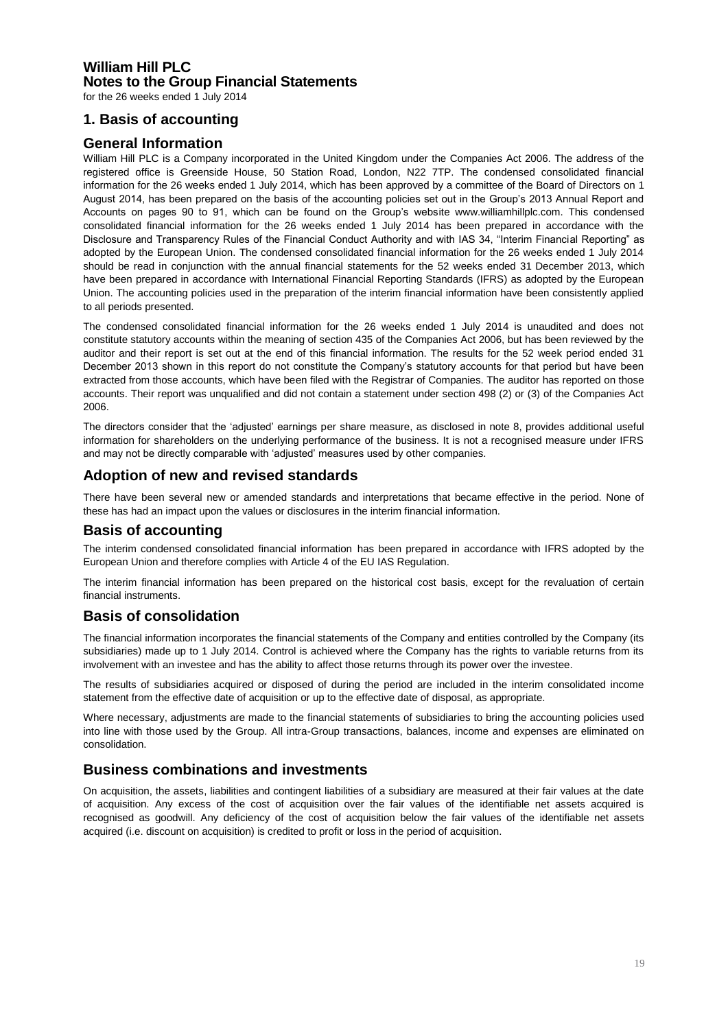## **William Hill PLC Notes to the Group Financial Statements**

for the 26 weeks ended 1 July 2014

### **1. Basis of accounting**

### **General Information**

William Hill PLC is a Company incorporated in the United Kingdom under the Companies Act 2006. The address of the registered office is Greenside House, 50 Station Road, London, N22 7TP. The condensed consolidated financial information for the 26 weeks ended 1 July 2014, which has been approved by a committee of the Board of Directors on 1 August 2014, has been prepared on the basis of the accounting policies set out in the Group's 2013 Annual Report and Accounts on pages 90 to 91, which can be found on the Group's website www.williamhillplc.com. This condensed consolidated financial information for the 26 weeks ended 1 July 2014 has been prepared in accordance with the Disclosure and Transparency Rules of the Financial Conduct Authority and with IAS 34, "Interim Financial Reporting" as adopted by the European Union. The condensed consolidated financial information for the 26 weeks ended 1 July 2014 should be read in conjunction with the annual financial statements for the 52 weeks ended 31 December 2013, which have been prepared in accordance with International Financial Reporting Standards (IFRS) as adopted by the European Union. The accounting policies used in the preparation of the interim financial information have been consistently applied to all periods presented.

The condensed consolidated financial information for the 26 weeks ended 1 July 2014 is unaudited and does not constitute statutory accounts within the meaning of section 435 of the Companies Act 2006, but has been reviewed by the auditor and their report is set out at the end of this financial information. The results for the 52 week period ended 31 December 2013 shown in this report do not constitute the Company's statutory accounts for that period but have been extracted from those accounts, which have been filed with the Registrar of Companies. The auditor has reported on those accounts. Their report was unqualified and did not contain a statement under section 498 (2) or (3) of the Companies Act 2006.

The directors consider that the 'adjusted' earnings per share measure, as disclosed in note 8, provides additional useful information for shareholders on the underlying performance of the business. It is not a recognised measure under IFRS and may not be directly comparable with 'adjusted' measures used by other companies.

### **Adoption of new and revised standards**

There have been several new or amended standards and interpretations that became effective in the period. None of these has had an impact upon the values or disclosures in the interim financial information.

### **Basis of accounting**

The interim condensed consolidated financial information has been prepared in accordance with IFRS adopted by the European Union and therefore complies with Article 4 of the EU IAS Regulation.

The interim financial information has been prepared on the historical cost basis, except for the revaluation of certain financial instruments.

### **Basis of consolidation**

The financial information incorporates the financial statements of the Company and entities controlled by the Company (its subsidiaries) made up to 1 July 2014. Control is achieved where the Company has the rights to variable returns from its involvement with an investee and has the ability to affect those returns through its power over the investee.

The results of subsidiaries acquired or disposed of during the period are included in the interim consolidated income statement from the effective date of acquisition or up to the effective date of disposal, as appropriate.

Where necessary, adjustments are made to the financial statements of subsidiaries to bring the accounting policies used into line with those used by the Group. All intra-Group transactions, balances, income and expenses are eliminated on consolidation.

### **Business combinations and investments**

On acquisition, the assets, liabilities and contingent liabilities of a subsidiary are measured at their fair values at the date of acquisition. Any excess of the cost of acquisition over the fair values of the identifiable net assets acquired is recognised as goodwill. Any deficiency of the cost of acquisition below the fair values of the identifiable net assets acquired (i.e. discount on acquisition) is credited to profit or loss in the period of acquisition.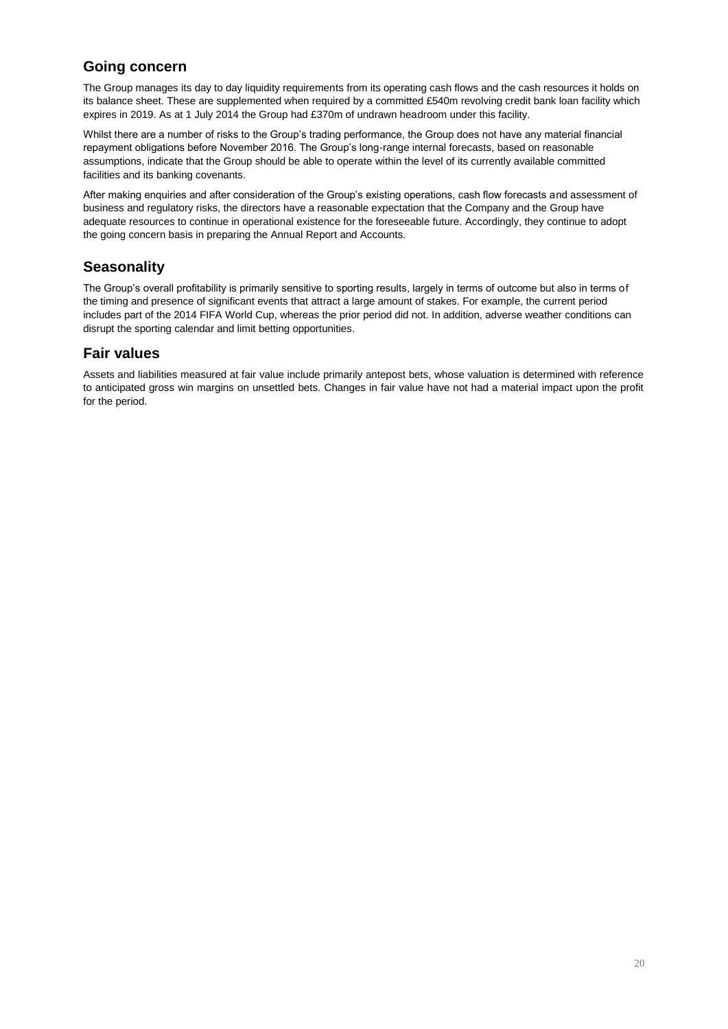## **Going concern**

The Group manages its day to day liquidity requirements from its operating cash flows and the cash resources it holds on its balance sheet. These are supplemented when required by a committed £540m revolving credit bank loan facility which expires in 2019. As at 1 July 2014 the Group had £370m of undrawn headroom under this facility.

Whilst there are a number of risks to the Group's trading performance, the Group does not have any material financial repayment obligations before November 2016. The Group's long-range internal forecasts, based on reasonable assumptions, indicate that the Group should be able to operate within the level of its currently available committed facilities and its banking covenants.

After making enquiries and after consideration of the Group's existing operations, cash flow forecasts and assessment of business and regulatory risks, the directors have a reasonable expectation that the Company and the Group have adequate resources to continue in operational existence for the foreseeable future. Accordingly, they continue to adopt the going concern basis in preparing the Annual Report and Accounts.

## **Seasonality**

The Group's overall profitability is primarily sensitive to sporting results, largely in terms of outcome but also in terms of the timing and presence of significant events that attract a large amount of stakes. For example, the current period includes part of the 2014 FIFA World Cup, whereas the prior period did not. In addition, adverse weather conditions can disrupt the sporting calendar and limit betting opportunities.

## **Fair values**

Assets and liabilities measured at fair value include primarily antepost bets, whose valuation is determined with reference to anticipated gross win margins on unsettled bets. Changes in fair value have not had a material impact upon the profit for the period.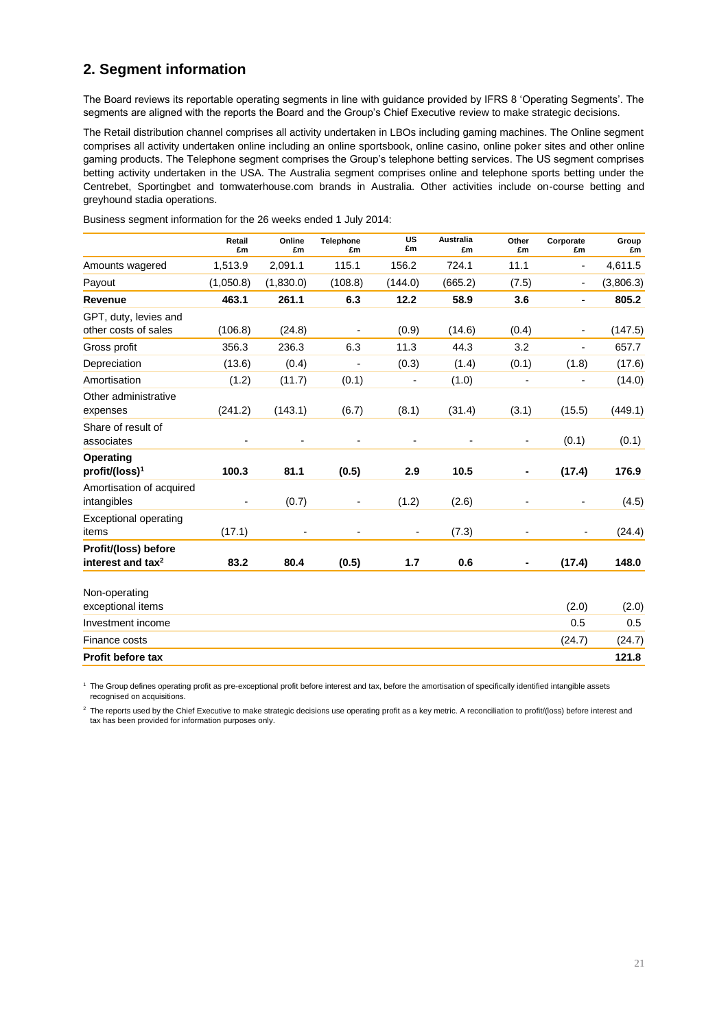## **2. Segment information**

The Board reviews its reportable operating segments in line with guidance provided by IFRS 8 'Operating Segments'. The segments are aligned with the reports the Board and the Group's Chief Executive review to make strategic decisions.

The Retail distribution channel comprises all activity undertaken in LBOs including gaming machines. The Online segment comprises all activity undertaken online including an online sportsbook, online casino, online poker sites and other online gaming products. The Telephone segment comprises the Group's telephone betting services. The US segment comprises betting activity undertaken in the USA. The Australia segment comprises online and telephone sports betting under the Centrebet, Sportingbet and tomwaterhouse.com brands in Australia. Other activities include on-course betting and greyhound stadia operations.

|                                                       | Retail<br>£m             | Online<br>£m   | <b>Telephone</b><br>£m   | <b>US</b><br>£m          | <b>Australia</b><br>£m | Other<br>£m              | Corporate<br>£m          | Group<br>£m |
|-------------------------------------------------------|--------------------------|----------------|--------------------------|--------------------------|------------------------|--------------------------|--------------------------|-------------|
| Amounts wagered                                       | 1,513.9                  | 2,091.1        | 115.1                    | 156.2                    | 724.1                  | 11.1                     | $\frac{1}{2}$            | 4,611.5     |
| Payout                                                | (1,050.8)                | (1,830.0)      | (108.8)                  | (144.0)                  | (665.2)                | (7.5)                    | $\overline{\phantom{a}}$ | (3,806.3)   |
| Revenue                                               | 463.1                    | 261.1          | 6.3                      | 12.2                     | 58.9                   | 3.6                      | $\blacksquare$           | 805.2       |
| GPT, duty, levies and<br>other costs of sales         | (106.8)                  | (24.8)         |                          | (0.9)                    | (14.6)                 | (0.4)                    | $\overline{\phantom{a}}$ | (147.5)     |
| Gross profit                                          | 356.3                    | 236.3          | 6.3                      | 11.3                     | 44.3                   | 3.2                      | $\overline{a}$           | 657.7       |
| Depreciation                                          | (13.6)                   | (0.4)          | $\overline{a}$           | (0.3)                    | (1.4)                  | (0.1)                    | (1.8)                    | (17.6)      |
| Amortisation                                          | (1.2)                    | (11.7)         | (0.1)                    | $\overline{\phantom{a}}$ | (1.0)                  | ٠                        | $\overline{a}$           | (14.0)      |
| Other administrative<br>expenses                      | (241.2)                  | (143.1)        | (6.7)                    | (8.1)                    | (31.4)                 | (3.1)                    | (15.5)                   | (449.1)     |
| Share of result of<br>associates                      |                          |                |                          | $\overline{\phantom{a}}$ |                        | ٠                        | (0.1)                    | (0.1)       |
| Operating<br>profit/(loss) <sup>1</sup>               | 100.3                    | 81.1           | (0.5)                    | 2.9                      | 10.5                   |                          | (17.4)                   | 176.9       |
| Amortisation of acquired<br>intangibles               | $\overline{\phantom{a}}$ | (0.7)          | $\overline{\phantom{a}}$ | (1.2)                    | (2.6)                  | $\overline{\phantom{0}}$ | $\overline{\phantom{a}}$ | (4.5)       |
| <b>Exceptional operating</b><br>items                 | (17.1)                   | $\blacksquare$ | $\blacksquare$           | ۰                        | (7.3)                  |                          |                          | (24.4)      |
| Profit/(loss) before<br>interest and tax <sup>2</sup> | 83.2                     | 80.4           | (0.5)                    | 1.7                      | 0.6                    |                          | (17.4)                   | 148.0       |
| Non-operating<br>exceptional items                    |                          |                |                          |                          |                        |                          | (2.0)                    | (2.0)       |
| Investment income                                     |                          |                |                          |                          |                        |                          | 0.5                      | 0.5         |
| Finance costs                                         |                          |                |                          |                          |                        |                          | (24.7)                   | (24.7)      |
| <b>Profit before tax</b>                              |                          |                |                          |                          |                        |                          |                          | 121.8       |

Business segment information for the 26 weeks ended 1 July 2014:

<sup>1</sup> The Group defines operating profit as pre-exceptional profit before interest and tax, before the amortisation of specifically identified intangible assets recognised on acquisitions.

<sup>2</sup> The reports used by the Chief Executive to make strategic decisions use operating profit as a key metric. A reconciliation to profit/(loss) before interest and tax has been provided for information purposes only.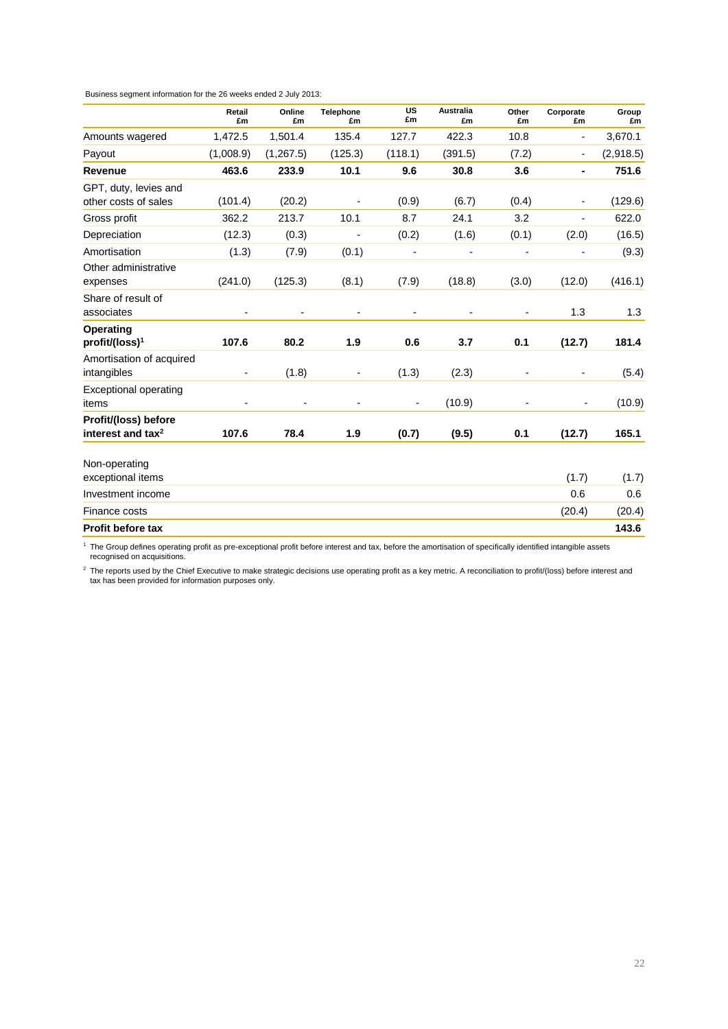Business segment information for the 26 weeks ended 2 July 2013:

|                                                       | Retail<br>£m             | Online<br>£m | <b>Telephone</b><br>£m   | <b>US</b><br>£m          | <b>Australia</b><br>£m | Other<br>£m              | Corporate<br>£m          | Group<br>£m |
|-------------------------------------------------------|--------------------------|--------------|--------------------------|--------------------------|------------------------|--------------------------|--------------------------|-------------|
| Amounts wagered                                       | 1,472.5                  | 1,501.4      | 135.4                    | 127.7                    | 422.3                  | 10.8                     | $\overline{\phantom{0}}$ | 3,670.1     |
| Payout                                                | (1,008.9)                | (1, 267.5)   | (125.3)                  | (118.1)                  | (391.5)                | (7.2)                    | $\overline{\phantom{a}}$ | (2,918.5)   |
| Revenue                                               | 463.6                    | 233.9        | 10.1                     | 9.6                      | 30.8                   | 3.6                      | ٠                        | 751.6       |
| GPT, duty, levies and<br>other costs of sales         | (101.4)                  | (20.2)       |                          | (0.9)                    | (6.7)                  | (0.4)                    | $\overline{\phantom{a}}$ | (129.6)     |
| Gross profit                                          | 362.2                    | 213.7        | 10.1                     | 8.7                      | 24.1                   | 3.2                      | $\overline{a}$           | 622.0       |
| Depreciation                                          | (12.3)                   | (0.3)        | L,                       | (0.2)                    | (1.6)                  | (0.1)                    | (2.0)                    | (16.5)      |
| Amortisation                                          | (1.3)                    | (7.9)        | (0.1)                    | $\overline{\phantom{a}}$ | ÷                      | $\overline{\phantom{a}}$ |                          | (9.3)       |
| Other administrative<br>expenses                      | (241.0)                  | (125.3)      | (8.1)                    | (7.9)                    | (18.8)                 | (3.0)                    | (12.0)                   | (416.1)     |
| Share of result of<br>associates                      |                          |              |                          |                          |                        |                          | 1.3                      | 1.3         |
| Operating<br>profit/(loss) <sup>1</sup>               | 107.6                    | 80.2         | 1.9                      | 0.6                      | 3.7                    | 0.1                      | (12.7)                   | 181.4       |
| Amortisation of acquired<br>intangibles               | $\blacksquare$           | (1.8)        | $\overline{\phantom{a}}$ | (1.3)                    | (2.3)                  | -                        | $\overline{\phantom{a}}$ | (5.4)       |
| <b>Exceptional operating</b><br>items                 | $\overline{\phantom{a}}$ | -            | $\overline{a}$           | $\overline{\phantom{a}}$ | (10.9)                 |                          |                          | (10.9)      |
| Profit/(loss) before<br>interest and tax <sup>2</sup> | 107.6                    | 78.4         | 1.9                      | (0.7)                    | (9.5)                  | 0.1                      | (12.7)                   | 165.1       |
| Non-operating<br>exceptional items                    |                          |              |                          |                          |                        |                          | (1.7)                    | (1.7)       |
| Investment income                                     |                          |              |                          |                          |                        |                          | 0.6                      | 0.6         |
| Finance costs                                         |                          |              |                          |                          |                        |                          | (20.4)                   | (20.4)      |
| <b>Profit before tax</b>                              |                          |              |                          |                          |                        |                          |                          | 143.6       |

<sup>1</sup> The Group defines operating profit as pre-exceptional profit before interest and tax, before the amortisation of specifically identified intangible assets recognised on acquisitions.

 $^2$  The reports used by the Chief Executive to make strategic decisions use operating profit as a key metric. A reconciliation to profit/(loss) before interest and tax has been provided for information purposes only.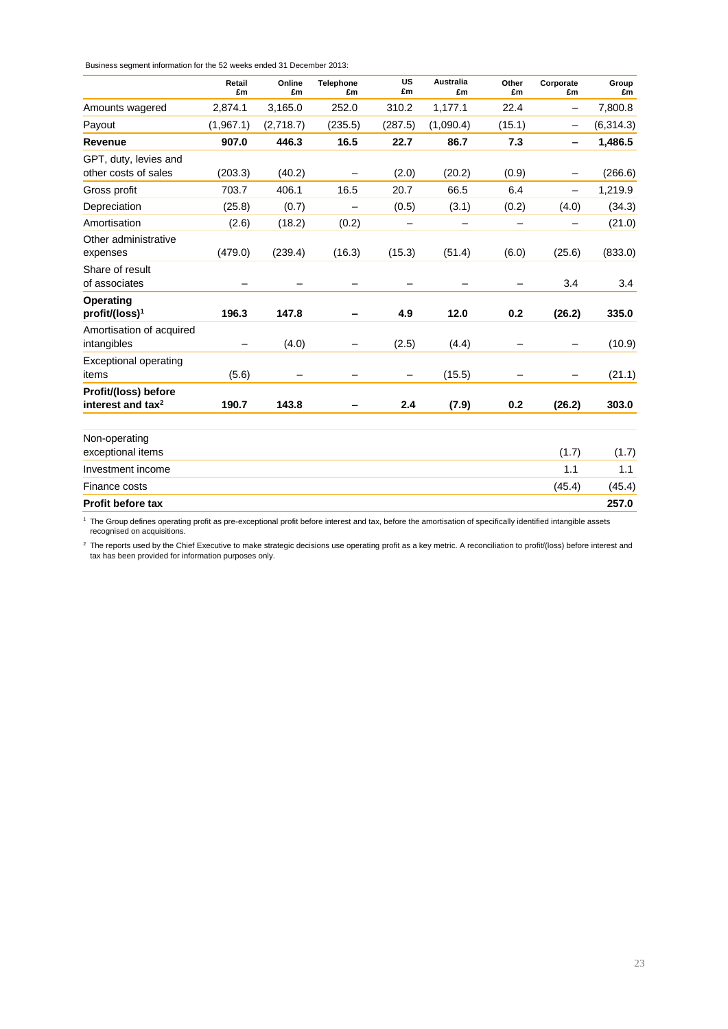Business segment information for the 52 weeks ended 31 December 2013:

|                                                       | Retail<br>£m | Online<br>£m | <b>Telephone</b><br>£m | <b>US</b><br>£m | <b>Australia</b><br>£m | Other<br>£m | Corporate<br>£m              | Group<br>£m |
|-------------------------------------------------------|--------------|--------------|------------------------|-----------------|------------------------|-------------|------------------------------|-------------|
| Amounts wagered                                       | 2,874.1      | 3,165.0      | 252.0                  | 310.2           | 1,177.1                | 22.4        | -                            | 7,800.8     |
| Payout                                                | (1,967.1)    | (2,718.7)    | (235.5)                | (287.5)         | (1,090.4)              | (15.1)      |                              | (6, 314.3)  |
| Revenue                                               | 907.0        | 446.3        | 16.5                   | 22.7            | 86.7                   | 7.3         | $\qquad \qquad \blacksquare$ | 1,486.5     |
| GPT, duty, levies and                                 |              |              |                        |                 |                        |             |                              |             |
| other costs of sales                                  | (203.3)      | (40.2)       |                        | (2.0)           | (20.2)                 | (0.9)       |                              | (266.6)     |
| Gross profit                                          | 703.7        | 406.1        | 16.5                   | 20.7            | 66.5                   | 6.4         | Ξ.                           | 1,219.9     |
| Depreciation                                          | (25.8)       | (0.7)        |                        | (0.5)           | (3.1)                  | (0.2)       | (4.0)                        | (34.3)      |
| Amortisation                                          | (2.6)        | (18.2)       | (0.2)                  |                 |                        |             |                              | (21.0)      |
| Other administrative<br>expenses                      | (479.0)      | (239.4)      | (16.3)                 | (15.3)          | (51.4)                 | (6.0)       | (25.6)                       | (833.0)     |
| Share of result<br>of associates                      |              |              |                        |                 | -                      |             | 3.4                          | 3.4         |
| Operating<br>profit/(loss) <sup>1</sup>               | 196.3        | 147.8        |                        | 4.9             | 12.0                   | 0.2         | (26.2)                       | 335.0       |
| Amortisation of acquired<br>intangibles               |              | (4.0)        |                        | (2.5)           | (4.4)                  |             |                              | (10.9)      |
| <b>Exceptional operating</b><br>items                 | (5.6)        |              |                        | -               | (15.5)                 |             |                              | (21.1)      |
| Profit/(loss) before<br>interest and tax <sup>2</sup> | 190.7        | 143.8        |                        | 2.4             | (7.9)                  | 0.2         | (26.2)                       | 303.0       |
| Non-operating<br>exceptional items                    |              |              |                        |                 |                        |             | (1.7)                        | (1.7)       |
| Investment income                                     |              |              |                        |                 |                        |             | 1.1                          | 1.1         |
| Finance costs                                         |              |              |                        |                 |                        |             | (45.4)                       | (45.4)      |
| <b>Profit before tax</b>                              |              |              |                        |                 |                        |             |                              | 257.0       |

<sup>1</sup> The Group defines operating profit as pre-exceptional profit before interest and tax, before the amortisation of specifically identified intangible assets recognised on acquisitions.

<sup>2</sup> The reports used by the Chief Executive to make strategic decisions use operating profit as a key metric. A reconciliation to profit/(loss) before interest and tax has been provided for information purposes only.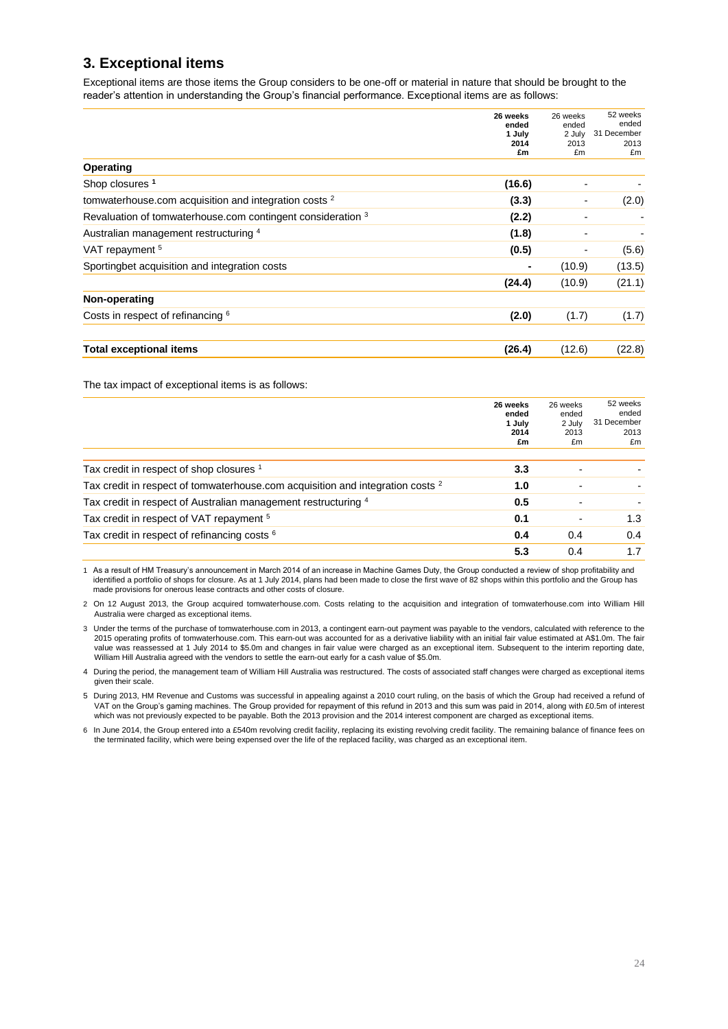## **3. Exceptional items**

Exceptional items are those items the Group considers to be one-off or material in nature that should be brought to the reader's attention in understanding the Group's financial performance. Exceptional items are as follows:

|                                                                  | 26 weeks<br>ended | 26 weeks<br>ended | 52 weeks<br>ended |
|------------------------------------------------------------------|-------------------|-------------------|-------------------|
|                                                                  | 1 July            | 2 July            | 31 December       |
|                                                                  | 2014<br>£m        | 2013<br>£m        | 2013<br>£m        |
| Operating                                                        |                   |                   |                   |
| Shop closures <sup>1</sup>                                       | (16.6)            |                   |                   |
| tomwaterhouse.com acquisition and integration costs <sup>2</sup> | (3.3)             |                   | (2.0)             |
| Revaluation of tomwaterhouse.com contingent consideration 3      | (2.2)             |                   |                   |
| Australian management restructuring 4                            | (1.8)             |                   |                   |
| VAT repayment <sup>5</sup>                                       | (0.5)             |                   | (5.6)             |
| Sportingbet acquisition and integration costs                    | ٠                 | (10.9)            | (13.5)            |
|                                                                  | (24.4)            | (10.9)            | (21.1)            |
| Non-operating                                                    |                   |                   |                   |
| Costs in respect of refinancing 6                                | (2.0)             | (1.7)             | (1.7)             |
| <b>Total exceptional items</b>                                   | (26.4)            | (12.6)            | (22.8)            |

The tax impact of exceptional items is as follows:

|                                                                                           | 26 weeks<br>ended<br>1 July<br>2014<br>£m | 26 weeks<br>ended<br>2 July<br>2013<br>£m | 52 weeks<br>ended<br>31 December<br>2013<br>£m |
|-------------------------------------------------------------------------------------------|-------------------------------------------|-------------------------------------------|------------------------------------------------|
|                                                                                           |                                           |                                           |                                                |
| Tax credit in respect of shop closures 1                                                  | 3.3                                       |                                           |                                                |
| Tax credit in respect of tomwaterhouse.com acquisition and integration costs <sup>2</sup> | 1.0                                       |                                           |                                                |
| Tax credit in respect of Australian management restructuring 4                            | 0.5                                       |                                           |                                                |
| Tax credit in respect of VAT repayment <sup>5</sup>                                       | 0.1                                       |                                           | 1.3                                            |
| Tax credit in respect of refinancing costs <sup>6</sup>                                   | 0.4                                       | 0.4                                       | 0.4                                            |
|                                                                                           | 5.3                                       | 0.4                                       | 1.7                                            |

1 As a result of HM Treasury's announcement in March 2014 of an increase in Machine Games Duty, the Group conducted a review of shop profitability and identified a portfolio of shops for closure. As at 1 July 2014, plans had been made to close the first wave of 82 shops within this portfolio and the Group has made provisions for onerous lease contracts and other costs of closure.

2 On 12 August 2013, the Group acquired tomwaterhouse.com. Costs relating to the acquisition and integration of tomwaterhouse.com into William Hill Australia were charged as exceptional items.

3 Under the terms of the purchase of tomwaterhouse.com in 2013, a contingent earn-out payment was payable to the vendors, calculated with reference to the 2015 operating profits of tomwaterhouse.com. This earn-out was accounted for as a derivative liability with an initial fair value estimated at A\$1.0m. The fair value was reassessed at 1 July 2014 to \$5.0m and changes in fair value were charged as an exceptional item. Subsequent to the interim reporting date, William Hill Australia agreed with the vendors to settle the earn-out early for a cash value of \$5.0m.

4 During the period, the management team of William Hill Australia was restructured. The costs of associated staff changes were charged as exceptional items given their scale.

5 During 2013, HM Revenue and Customs was successful in appealing against a 2010 court ruling, on the basis of which the Group had received a refund of VAT on the Group's gaming machines. The Group provided for repayment of this refund in 2013 and this sum was paid in 2014, along with £0.5m of interest which was not previously expected to be payable. Both the 2013 provision and the 2014 interest component are charged as exceptional items.

6 In June 2014, the Group entered into a £540m revolving credit facility, replacing its existing revolving credit facility. The remaining balance of finance fees on the terminated facility, which were being expensed over the life of the replaced facility, was charged as an exceptional item.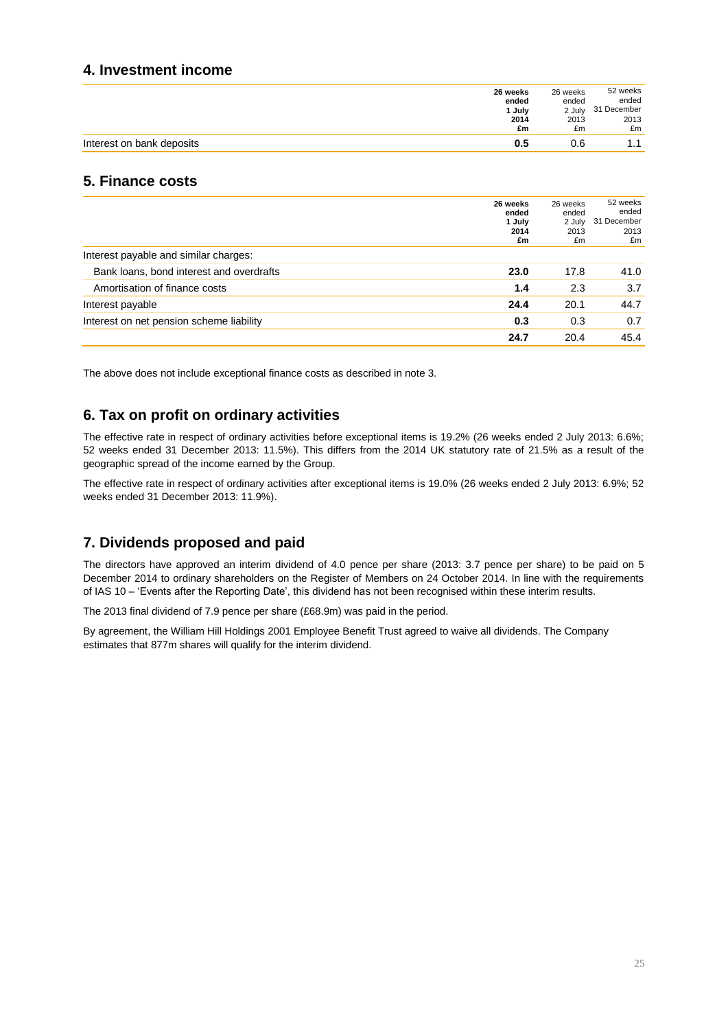### **4. Investment income**

|                           | 26 weeks | 26 weeks | 52 weeks    |
|---------------------------|----------|----------|-------------|
|                           | ended    | ended    | ended       |
|                           | 1 July   | 2 July   | 31 December |
|                           | 2014     | 2013     | 2013        |
|                           | £m       | £m       | £m          |
| Interest on bank deposits | 0.5      | 0.6      | 1.1         |

## **5. Finance costs**

|                                          | 26 weeks<br>ended<br>1 July<br>2014<br>£m | 26 weeks<br>ended<br>2 July<br>2013<br>£m | 52 weeks<br>ended<br>31 December<br>2013<br>£m |
|------------------------------------------|-------------------------------------------|-------------------------------------------|------------------------------------------------|
| Interest payable and similar charges:    |                                           |                                           |                                                |
| Bank loans, bond interest and overdrafts | 23.0                                      | 17.8                                      | 41.0                                           |
| Amortisation of finance costs            | 1.4                                       | 2.3                                       | 3.7                                            |
| Interest payable                         | 24.4                                      | 20.1                                      | 44.7                                           |
| Interest on net pension scheme liability | 0.3                                       | 0.3                                       | 0.7                                            |
|                                          | 24.7                                      | 20.4                                      | 45.4                                           |

The above does not include exceptional finance costs as described in note 3.

## **6. Tax on profit on ordinary activities**

The effective rate in respect of ordinary activities before exceptional items is 19.2% (26 weeks ended 2 July 2013: 6.6%; 52 weeks ended 31 December 2013: 11.5%). This differs from the 2014 UK statutory rate of 21.5% as a result of the geographic spread of the income earned by the Group.

The effective rate in respect of ordinary activities after exceptional items is 19.0% (26 weeks ended 2 July 2013: 6.9%; 52 weeks ended 31 December 2013: 11.9%).

## **7. Dividends proposed and paid**

The directors have approved an interim dividend of 4.0 pence per share (2013: 3.7 pence per share) to be paid on 5 December 2014 to ordinary shareholders on the Register of Members on 24 October 2014. In line with the requirements of IAS 10 – 'Events after the Reporting Date', this dividend has not been recognised within these interim results.

The 2013 final dividend of 7.9 pence per share (£68.9m) was paid in the period.

By agreement, the William Hill Holdings 2001 Employee Benefit Trust agreed to waive all dividends. The Company estimates that 877m shares will qualify for the interim dividend.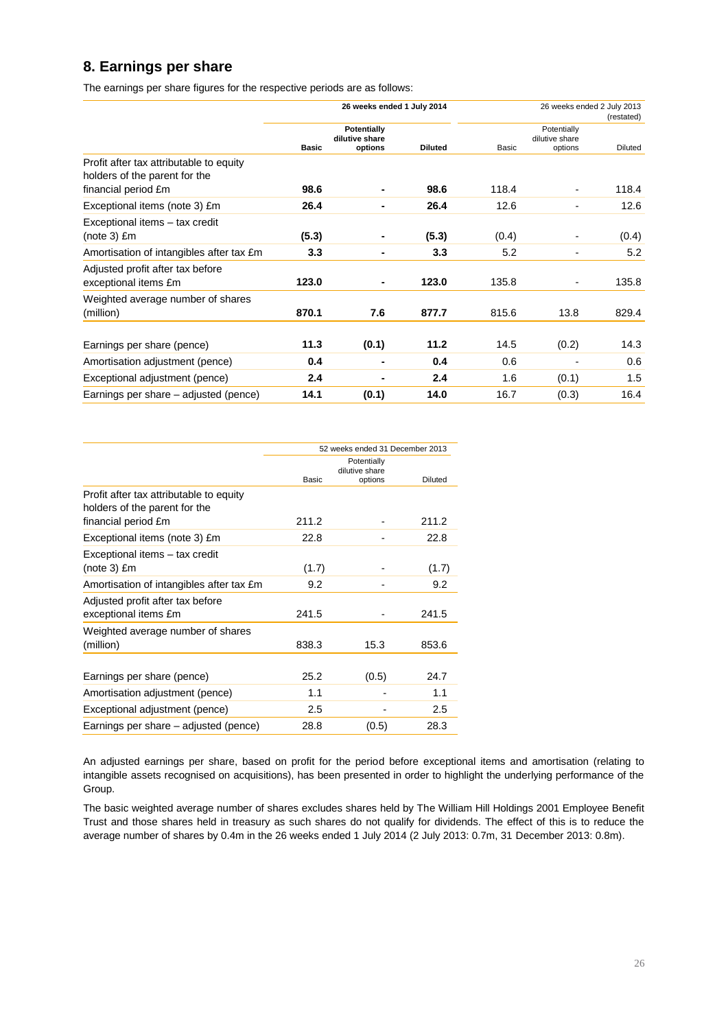## **8. Earnings per share**

The earnings per share figures for the respective periods are as follows:

|                                                                          |              | 26 weeks ended 1 July 2014               |                |       |                                          | 26 weeks ended 2 July 2013<br>(restated) |
|--------------------------------------------------------------------------|--------------|------------------------------------------|----------------|-------|------------------------------------------|------------------------------------------|
|                                                                          | <b>Basic</b> | Potentially<br>dilutive share<br>options | <b>Diluted</b> | Basic | Potentially<br>dilutive share<br>options | Diluted                                  |
| Profit after tax attributable to equity<br>holders of the parent for the |              |                                          |                |       |                                          |                                          |
| financial period £m                                                      | 98.6         |                                          | 98.6           | 118.4 |                                          | 118.4                                    |
| Exceptional items (note 3) £m                                            | 26.4         |                                          | 26.4           | 12.6  |                                          | 12.6                                     |
| Exceptional items - tax credit<br>$(note 3)$ $Em$                        | (5.3)        |                                          | (5.3)          | (0.4) |                                          | (0.4)                                    |
| Amortisation of intangibles after tax £m                                 | 3.3          | ٠                                        | 3.3            | 5.2   |                                          | 5.2                                      |
| Adjusted profit after tax before<br>exceptional items £m                 | 123.0        | ٠                                        | 123.0          | 135.8 |                                          | 135.8                                    |
| Weighted average number of shares<br>(million)                           | 870.1        | 7.6                                      | 877.7          | 815.6 | 13.8                                     | 829.4                                    |
| Earnings per share (pence)                                               | 11.3         | (0.1)                                    | 11.2           | 14.5  | (0.2)                                    | 14.3                                     |
| Amortisation adjustment (pence)                                          | 0.4          |                                          | 0.4            | 0.6   |                                          | 0.6                                      |
| Exceptional adjustment (pence)                                           | 2.4          |                                          | 2.4            | 1.6   | (0.1)                                    | 1.5                                      |
| Earnings per share – adjusted (pence)                                    | 14.1         | (0.1)                                    | 14.0           | 16.7  | (0.3)                                    | 16.4                                     |

|                                                                          | 52 weeks ended 31 December 2013 |         |                |  |  |  |
|--------------------------------------------------------------------------|---------------------------------|---------|----------------|--|--|--|
|                                                                          | Potentially<br>dilutive share   |         |                |  |  |  |
|                                                                          | Basic                           | options | <b>Diluted</b> |  |  |  |
| Profit after tax attributable to equity<br>holders of the parent for the |                                 |         |                |  |  |  |
| financial period £m                                                      | 211.2                           |         | 211.2          |  |  |  |
| Exceptional items (note 3) £m                                            | 22.8                            |         | 22.8           |  |  |  |
| Exceptional items - tax credit                                           |                                 |         |                |  |  |  |
| $(note 3)$ £m                                                            | (1.7)                           |         | (1.7)          |  |  |  |
| Amortisation of intangibles after tax £m                                 | 9.2                             |         | 9.2            |  |  |  |
| Adjusted profit after tax before                                         |                                 |         |                |  |  |  |
| exceptional items £m                                                     | 241.5                           |         | 241.5          |  |  |  |
| Weighted average number of shares                                        |                                 |         |                |  |  |  |
| (million)                                                                | 838.3                           | 15.3    | 853.6          |  |  |  |
|                                                                          |                                 |         |                |  |  |  |
| Earnings per share (pence)                                               | 25.2                            | (0.5)   | 24.7           |  |  |  |
| Amortisation adjustment (pence)                                          | 1.1                             |         | 1.1            |  |  |  |
| Exceptional adjustment (pence)                                           | 2.5                             |         | 2.5            |  |  |  |
| Earnings per share – adjusted (pence)                                    | 28.8                            | (0.5)   | 28.3           |  |  |  |

An adjusted earnings per share, based on profit for the period before exceptional items and amortisation (relating to intangible assets recognised on acquisitions), has been presented in order to highlight the underlying performance of the Group.

The basic weighted average number of shares excludes shares held by The William Hill Holdings 2001 Employee Benefit Trust and those shares held in treasury as such shares do not qualify for dividends. The effect of this is to reduce the average number of shares by 0.4m in the 26 weeks ended 1 July 2014 (2 July 2013: 0.7m, 31 December 2013: 0.8m).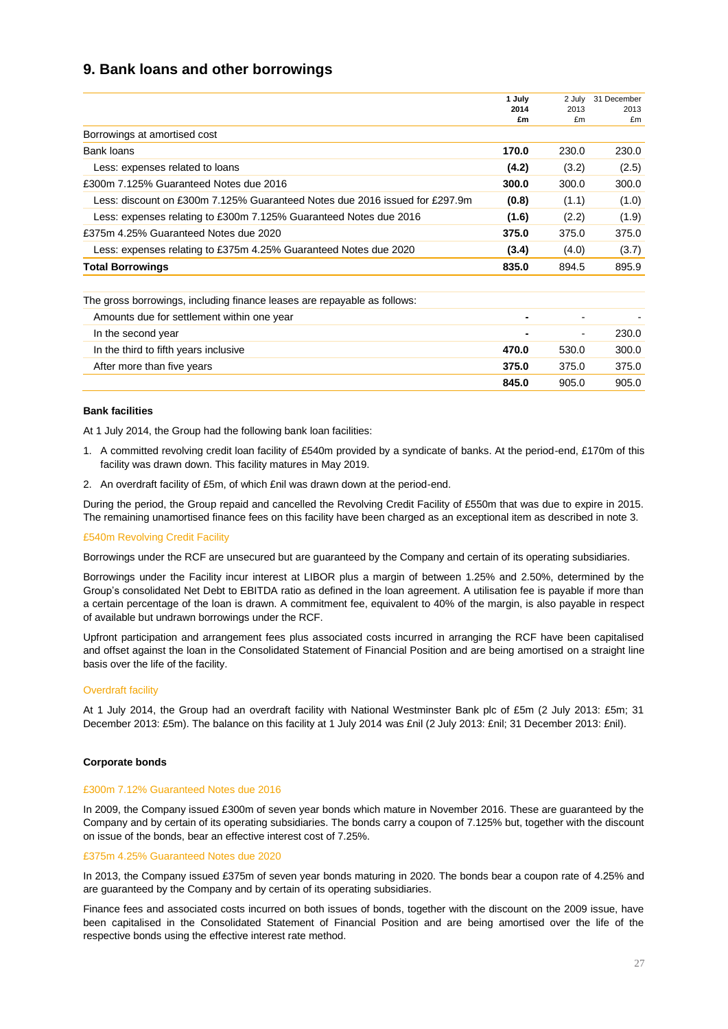## **9. Bank loans and other borrowings**

|                                                                             | 1 July<br>2014 | 2 July<br>2013 | 31 December<br>2013 |
|-----------------------------------------------------------------------------|----------------|----------------|---------------------|
|                                                                             | £m             | £m             | £m                  |
| Borrowings at amortised cost                                                |                |                |                     |
| Bank loans                                                                  | 170.0          | 230.0          | 230.0               |
| Less: expenses related to loans                                             |                | (3.2)          | (2.5)               |
| £300m 7.125% Guaranteed Notes due 2016                                      |                | 300.0          | 300.0               |
| Less: discount on £300m 7.125% Guaranteed Notes due 2016 issued for £297.9m | (0.8)          | (1.1)          | (1.0)               |
| Less: expenses relating to £300m 7.125% Guaranteed Notes due 2016           | (1.6)          | (2.2)          | (1.9)               |
| £375m 4.25% Guaranteed Notes due 2020                                       | 375.0          | 375.0          | 375.0               |
| Less: expenses relating to £375m 4.25% Guaranteed Notes due 2020            | (3.4)          | (4.0)          | (3.7)               |
| <b>Total Borrowings</b>                                                     | 835.0          | 894.5          | 895.9               |
|                                                                             |                |                |                     |
| The gross borrowings, including finance leases are repayable as follows:    |                |                |                     |

| The gross borrowings, including imance icases are repayable as follows. |       |                          |       |
|-------------------------------------------------------------------------|-------|--------------------------|-------|
| Amounts due for settlement within one year                              |       | $\overline{\phantom{0}}$ |       |
| In the second year                                                      |       | $\blacksquare$           | 230.0 |
| In the third to fifth years inclusive                                   | 470.0 | 530.0                    | 300.0 |
| After more than five years                                              | 375.0 | 375.0                    | 375.0 |
|                                                                         | 845.0 | 905.0                    | 905.0 |

#### **Bank facilities**

At 1 July 2014, the Group had the following bank loan facilities:

- 1. A committed revolving credit loan facility of £540m provided by a syndicate of banks. At the period-end, £170m of this facility was drawn down. This facility matures in May 2019.
- 2. An overdraft facility of £5m, of which £nil was drawn down at the period-end.

During the period, the Group repaid and cancelled the Revolving Credit Facility of £550m that was due to expire in 2015. The remaining unamortised finance fees on this facility have been charged as an exceptional item as described in note 3.

#### £540m Revolving Credit Facility

Borrowings under the RCF are unsecured but are guaranteed by the Company and certain of its operating subsidiaries.

Borrowings under the Facility incur interest at LIBOR plus a margin of between 1.25% and 2.50%, determined by the Group's consolidated Net Debt to EBITDA ratio as defined in the loan agreement. A utilisation fee is payable if more than a certain percentage of the loan is drawn. A commitment fee, equivalent to 40% of the margin, is also payable in respect of available but undrawn borrowings under the RCF.

Upfront participation and arrangement fees plus associated costs incurred in arranging the RCF have been capitalised and offset against the loan in the Consolidated Statement of Financial Position and are being amortised on a straight line basis over the life of the facility.

#### Overdraft facility

At 1 July 2014, the Group had an overdraft facility with National Westminster Bank plc of £5m (2 July 2013: £5m; 31 December 2013: £5m). The balance on this facility at 1 July 2014 was £nil (2 July 2013: £nil; 31 December 2013: £nil).

#### **Corporate bonds**

#### £300m 7.12% Guaranteed Notes due 2016

In 2009, the Company issued £300m of seven year bonds which mature in November 2016. These are guaranteed by the Company and by certain of its operating subsidiaries. The bonds carry a coupon of 7.125% but, together with the discount on issue of the bonds, bear an effective interest cost of 7.25%.

#### £375m 4.25% Guaranteed Notes due 2020

In 2013, the Company issued £375m of seven year bonds maturing in 2020. The bonds bear a coupon rate of 4.25% and are guaranteed by the Company and by certain of its operating subsidiaries.

Finance fees and associated costs incurred on both issues of bonds, together with the discount on the 2009 issue, have been capitalised in the Consolidated Statement of Financial Position and are being amortised over the life of the respective bonds using the effective interest rate method.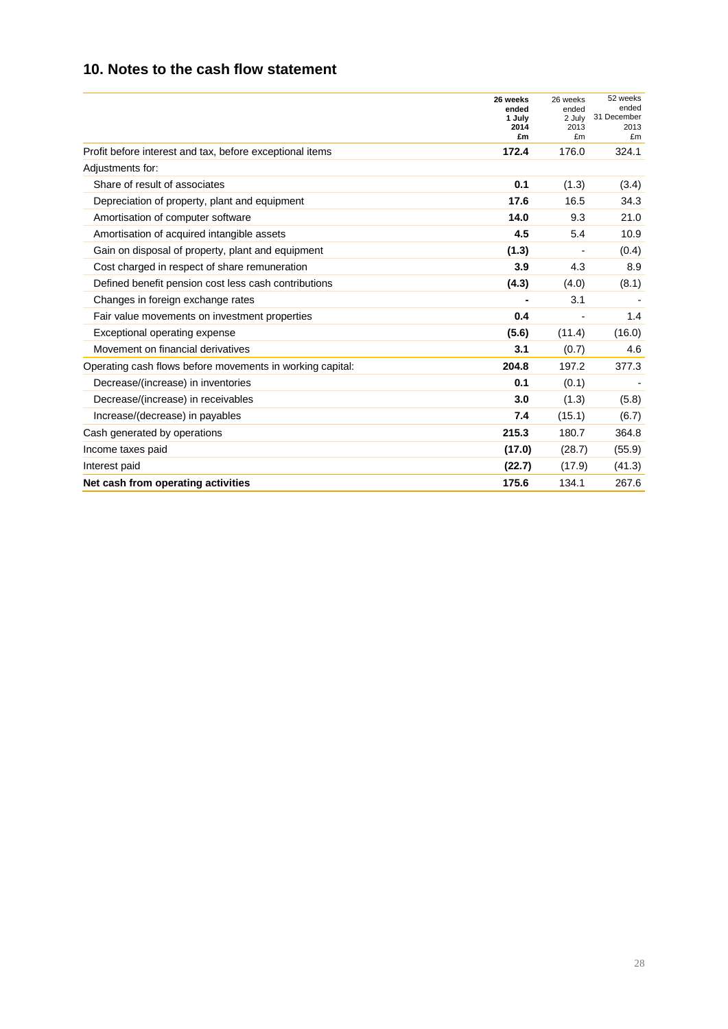## **10. Notes to the cash flow statement**

|                                                           | 26 weeks<br>ended<br>1 July<br>2014<br>£m | 26 weeks<br>ended<br>2 July<br>2013<br>£m | 52 weeks<br>ended<br>31 December<br>2013<br>£m |
|-----------------------------------------------------------|-------------------------------------------|-------------------------------------------|------------------------------------------------|
| Profit before interest and tax, before exceptional items  | 172.4                                     | 176.0                                     | 324.1                                          |
| Adjustments for:                                          |                                           |                                           |                                                |
| Share of result of associates                             | 0.1                                       | (1.3)                                     | (3.4)                                          |
| Depreciation of property, plant and equipment             | 17.6                                      | 16.5                                      | 34.3                                           |
| Amortisation of computer software                         | 14.0                                      | 9.3                                       | 21.0                                           |
| Amortisation of acquired intangible assets                | 4.5                                       | 5.4                                       | 10.9                                           |
| Gain on disposal of property, plant and equipment         | (1.3)                                     |                                           | (0.4)                                          |
| Cost charged in respect of share remuneration             | 3.9                                       | 4.3                                       | 8.9                                            |
| Defined benefit pension cost less cash contributions      | (4.3)                                     | (4.0)                                     | (8.1)                                          |
| Changes in foreign exchange rates                         |                                           | 3.1                                       |                                                |
| Fair value movements on investment properties             | 0.4                                       |                                           | 1.4                                            |
| Exceptional operating expense                             | (5.6)                                     | (11.4)                                    | (16.0)                                         |
| Movement on financial derivatives                         | 3.1                                       | (0.7)                                     | 4.6                                            |
| Operating cash flows before movements in working capital: | 204.8                                     | 197.2                                     | 377.3                                          |
| Decrease/(increase) in inventories                        | 0.1                                       | (0.1)                                     |                                                |
| Decrease/(increase) in receivables                        | 3.0                                       | (1.3)                                     | (5.8)                                          |
| Increase/(decrease) in payables                           | 7.4                                       | (15.1)                                    | (6.7)                                          |
| Cash generated by operations                              | 215.3                                     | 180.7                                     | 364.8                                          |
| Income taxes paid                                         | (17.0)                                    | (28.7)                                    | (55.9)                                         |
| Interest paid                                             | (22.7)                                    | (17.9)                                    | (41.3)                                         |
| Net cash from operating activities                        | 175.6                                     | 134.1                                     | 267.6                                          |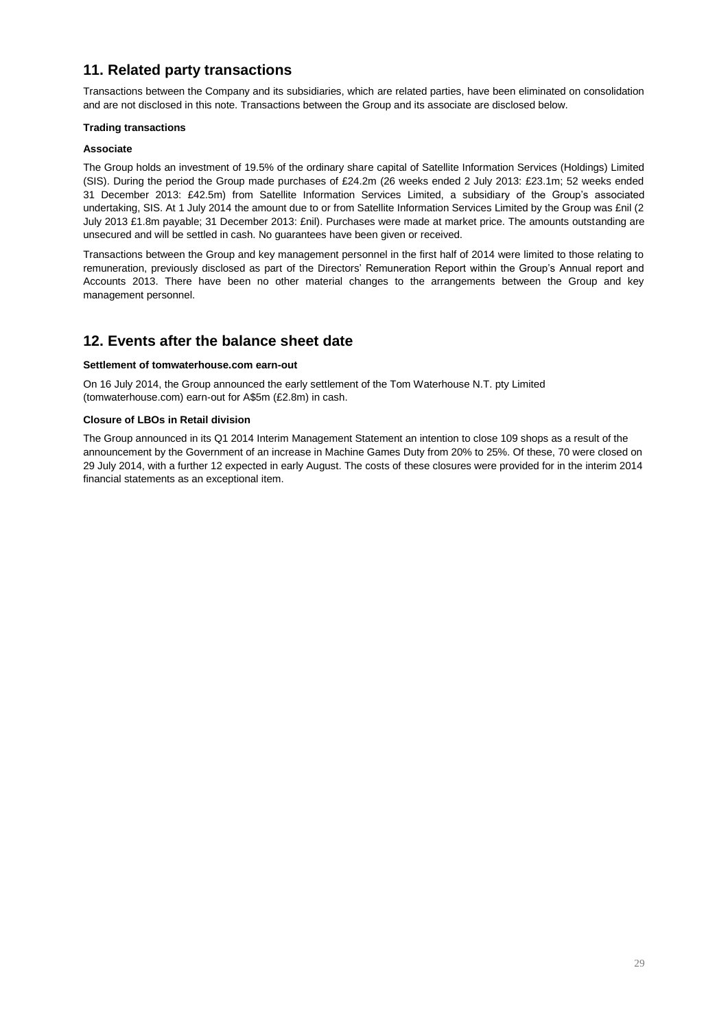## **11. Related party transactions**

Transactions between the Company and its subsidiaries, which are related parties, have been eliminated on consolidation and are not disclosed in this note. Transactions between the Group and its associate are disclosed below.

#### **Trading transactions**

#### **Associate**

The Group holds an investment of 19.5% of the ordinary share capital of Satellite Information Services (Holdings) Limited (SIS). During the period the Group made purchases of £24.2m (26 weeks ended 2 July 2013: £23.1m; 52 weeks ended 31 December 2013: £42.5m) from Satellite Information Services Limited, a subsidiary of the Group's associated undertaking, SIS. At 1 July 2014 the amount due to or from Satellite Information Services Limited by the Group was £nil (2 July 2013 £1.8m payable; 31 December 2013: £nil). Purchases were made at market price. The amounts outstanding are unsecured and will be settled in cash. No guarantees have been given or received.

Transactions between the Group and key management personnel in the first half of 2014 were limited to those relating to remuneration, previously disclosed as part of the Directors' Remuneration Report within the Group's Annual report and Accounts 2013. There have been no other material changes to the arrangements between the Group and key management personnel.

## **12. Events after the balance sheet date**

#### **Settlement of tomwaterhouse.com earn-out**

On 16 July 2014, the Group announced the early settlement of the Tom Waterhouse N.T. pty Limited (tomwaterhouse.com) earn-out for A\$5m (£2.8m) in cash.

#### **Closure of LBOs in Retail division**

The Group announced in its Q1 2014 Interim Management Statement an intention to close 109 shops as a result of the announcement by the Government of an increase in Machine Games Duty from 20% to 25%. Of these, 70 were closed on 29 July 2014, with a further 12 expected in early August. The costs of these closures were provided for in the interim 2014 financial statements as an exceptional item.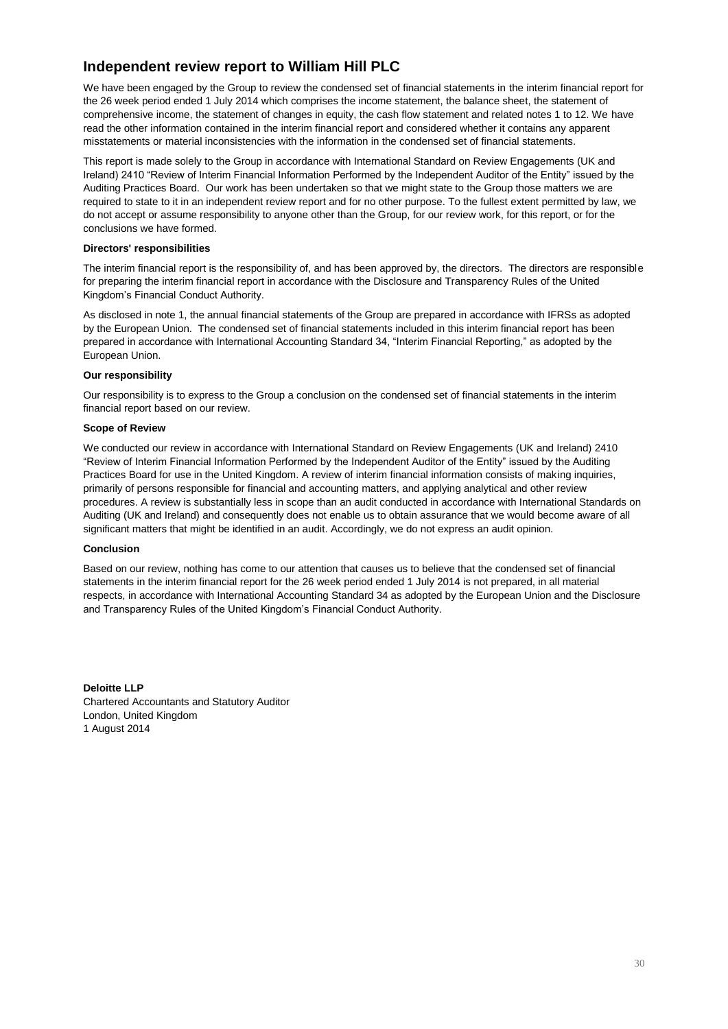## **Independent review report to William Hill PLC**

We have been engaged by the Group to review the condensed set of financial statements in the interim financial report for the 26 week period ended 1 July 2014 which comprises the income statement, the balance sheet, the statement of comprehensive income, the statement of changes in equity, the cash flow statement and related notes 1 to 12. We have read the other information contained in the interim financial report and considered whether it contains any apparent misstatements or material inconsistencies with the information in the condensed set of financial statements.

This report is made solely to the Group in accordance with International Standard on Review Engagements (UK and Ireland) 2410 "Review of Interim Financial Information Performed by the Independent Auditor of the Entity" issued by the Auditing Practices Board. Our work has been undertaken so that we might state to the Group those matters we are required to state to it in an independent review report and for no other purpose. To the fullest extent permitted by law, we do not accept or assume responsibility to anyone other than the Group, for our review work, for this report, or for the conclusions we have formed.

#### **Directors' responsibilities**

The interim financial report is the responsibility of, and has been approved by, the directors. The directors are responsible for preparing the interim financial report in accordance with the Disclosure and Transparency Rules of the United Kingdom's Financial Conduct Authority.

As disclosed in note 1, the annual financial statements of the Group are prepared in accordance with IFRSs as adopted by the European Union. The condensed set of financial statements included in this interim financial report has been prepared in accordance with International Accounting Standard 34, "Interim Financial Reporting," as adopted by the European Union.

#### **Our responsibility**

Our responsibility is to express to the Group a conclusion on the condensed set of financial statements in the interim financial report based on our review.

#### **Scope of Review**

We conducted our review in accordance with International Standard on Review Engagements (UK and Ireland) 2410 "Review of Interim Financial Information Performed by the Independent Auditor of the Entity" issued by the Auditing Practices Board for use in the United Kingdom. A review of interim financial information consists of making inquiries, primarily of persons responsible for financial and accounting matters, and applying analytical and other review procedures. A review is substantially less in scope than an audit conducted in accordance with International Standards on Auditing (UK and Ireland) and consequently does not enable us to obtain assurance that we would become aware of all significant matters that might be identified in an audit. Accordingly, we do not express an audit opinion.

#### **Conclusion**

Based on our review, nothing has come to our attention that causes us to believe that the condensed set of financial statements in the interim financial report for the 26 week period ended 1 July 2014 is not prepared, in all material respects, in accordance with International Accounting Standard 34 as adopted by the European Union and the Disclosure and Transparency Rules of the United Kingdom's Financial Conduct Authority.

**Deloitte LLP** Chartered Accountants and Statutory Auditor London, United Kingdom 1 August 2014